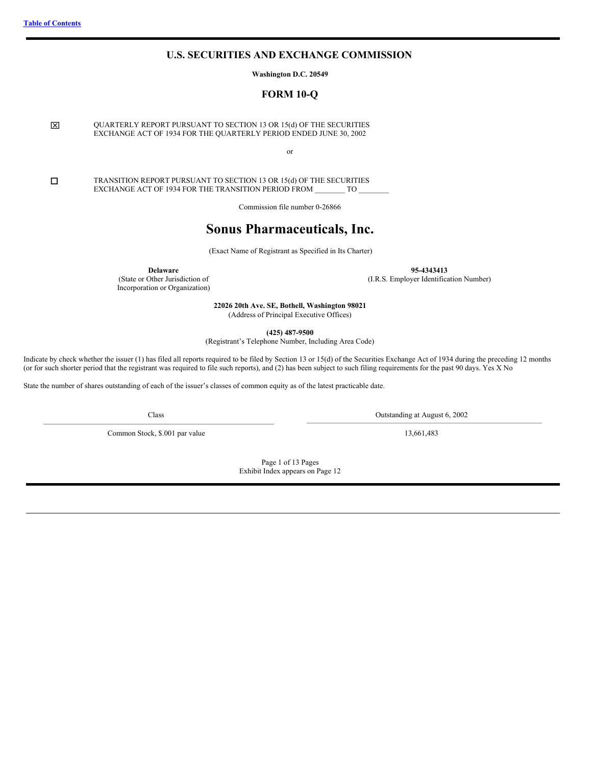# **U.S. SECURITIES AND EXCHANGE COMMISSION**

**Washington D.C. 20549**

**FORM 10-Q**

<span id="page-0-0"></span>x QUARTERLY REPORT PURSUANT TO SECTION 13 OR 15(d) OF THE SECURITIES EXCHANGE ACT OF 1934 FOR THE QUARTERLY PERIOD ENDED JUNE 30, 2002

or

**CO** TRANSITION REPORT PURSUANT TO SECTION 13 OR 15(d) OF THE SECURITIES<br>EXCHANGE ACT OF 1934 FOR THE TRANSITION PERIOD FROM TO EXCHANGE ACT OF 1934 FOR THE TRANSITION PERIOD FROM

Commission file number 0-26866

# **Sonus Pharmaceuticals, Inc.**

(Exact Name of Registrant as Specified in Its Charter)

**Delaware**

(State or Other Jurisdiction of Incorporation or Organization)

**95-4343413** (I.R.S. Employer Identification Number)

**22026 20th Ave. SE, Bothell, Washington 98021** (Address of Principal Executive Offices)

**(425) 487-9500**

(Registrant's Telephone Number, Including Area Code)

Indicate by check whether the issuer (1) has filed all reports required to be filed by Section 13 or 15(d) of the Securities Exchange Act of 1934 during the preceding 12 months (or for such shorter period that the registrant was required to file such reports), and (2) has been subject to such filing requirements for the past 90 days. Yes X No

State the number of shares outstanding of each of the issuer's classes of common equity as of the latest practicable date.

Common Stock, \$.001 par value 13,661,483

Class Outstanding at August 6, 2002

Page 1 of 13 Pages Exhibit Index appears on Page 12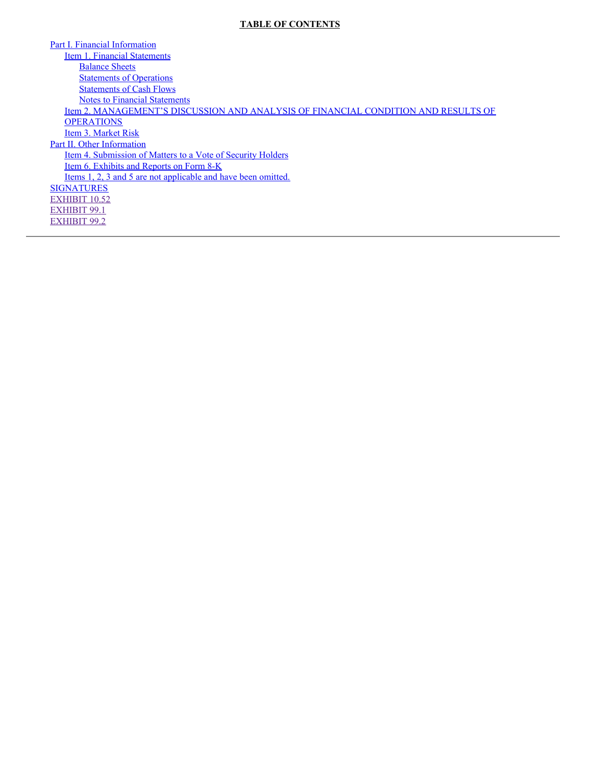# **TABLE OF CONTENTS**

Part I. Financial [Information](#page-3-0) Item 1. Financial [Statements](#page-3-1) [Balance](#page-3-2) Sheets **[Statements](#page-4-0) of Operations** [Statements](#page-5-0) of Cash Flows Notes to Financial [Statements](#page-6-0) Item 2. [MANAGEMENT'S](#page-7-0) DISCUSSION AND ANALYSIS OF FINANCIAL CONDITION AND RESULTS OF **OPERATIONS** Item 3. [Market](#page-12-0) Risk Part II. Other [Information](#page-12-1) Item 4. [Submission](#page-12-2) of Matters to a Vote of Security Holders Item 6. [Exhibits](#page-12-3) and Reports on Form 8-K Items 1, 2, 3 and 5 are not [applicable](#page-12-4) and have been omitted. **[SIGNATURES](#page-13-0)** [EXHIBIT](#page-24-0) 10.52 [EXHIBIT](#page-35-0) 99.1 [EXHIBIT](#page-36-0) 99.2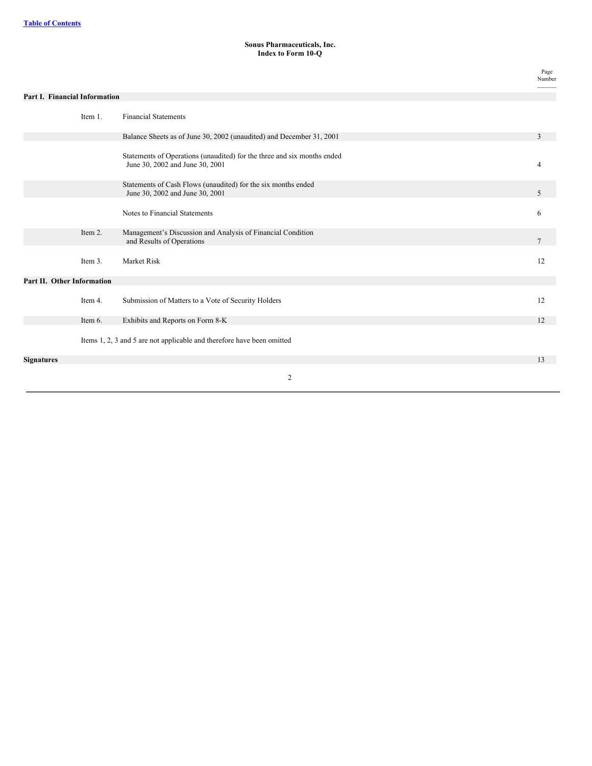### **Sonus Pharmaceuticals, Inc. Index to Form 10-Q**

|                                      |         |                                                                                                            | Page<br>Number |
|--------------------------------------|---------|------------------------------------------------------------------------------------------------------------|----------------|
| <b>Part I. Financial Information</b> |         |                                                                                                            |                |
|                                      | Item 1. | <b>Financial Statements</b>                                                                                |                |
|                                      |         | Balance Sheets as of June 30, 2002 (unaudited) and December 31, 2001                                       | 3              |
|                                      |         | Statements of Operations (unaudited) for the three and six months ended<br>June 30, 2002 and June 30, 2001 | 4              |
|                                      |         | Statements of Cash Flows (unaudited) for the six months ended<br>June 30, 2002 and June 30, 2001           | 5              |
|                                      |         | Notes to Financial Statements                                                                              | 6              |
|                                      | Item 2. | Management's Discussion and Analysis of Financial Condition<br>and Results of Operations                   | 7              |
|                                      | Item 3. | Market Risk                                                                                                | 12             |
| Part II. Other Information           |         |                                                                                                            |                |
|                                      | Item 4. | Submission of Matters to a Vote of Security Holders                                                        | 12             |
|                                      | Item 6. | Exhibits and Reports on Form 8-K                                                                           | 12             |
|                                      |         | Items 1, 2, 3 and 5 are not applicable and therefore have been omitted                                     |                |
| <b>Signatures</b>                    |         |                                                                                                            | 13             |
|                                      |         | 2                                                                                                          |                |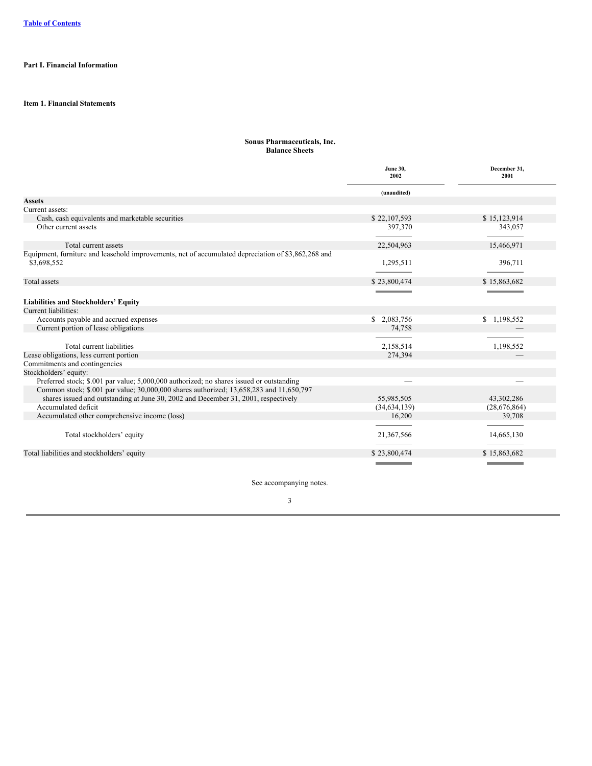# <span id="page-3-1"></span><span id="page-3-0"></span>**Part I. Financial Information**

## <span id="page-3-2"></span>**Item 1. Financial Statements**

### **Sonus Pharmaceuticals, Inc. Balance Sheets**

|                                                                                                                    | <b>June 30,</b><br>2002             | December 31,<br>2001              |
|--------------------------------------------------------------------------------------------------------------------|-------------------------------------|-----------------------------------|
|                                                                                                                    | (unaudited)                         |                                   |
| <b>Assets</b>                                                                                                      |                                     |                                   |
| Current assets:                                                                                                    |                                     |                                   |
| Cash, cash equivalents and marketable securities                                                                   | \$22,107,593                        | \$15,123,914                      |
| Other current assets                                                                                               | 397,370                             | 343,057                           |
| Total current assets                                                                                               | 22,504,963                          | 15,466,971                        |
| Equipment, furniture and leasehold improvements, net of accumulated depreciation of \$3,862,268 and<br>\$3,698,552 | 1,295,511                           | 396,711                           |
| <b>Total</b> assets                                                                                                | \$23,800,474                        | \$15,863,682                      |
|                                                                                                                    |                                     |                                   |
| <b>Liabilities and Stockholders' Equity</b>                                                                        |                                     |                                   |
| Current liabilities:                                                                                               |                                     |                                   |
| Accounts payable and accrued expenses                                                                              | \$2,083,756                         | \$1,198,552                       |
| Current portion of lease obligations                                                                               | 74,758                              |                                   |
|                                                                                                                    |                                     |                                   |
| Total current liabilities                                                                                          | 2,158,514                           | 1,198,552                         |
| Lease obligations, less current portion                                                                            | 274,394                             |                                   |
| Commitments and contingencies                                                                                      |                                     |                                   |
| Stockholders' equity:                                                                                              |                                     |                                   |
| Preferred stock; \$.001 par value; 5,000,000 authorized; no shares issued or outstanding                           |                                     |                                   |
| Common stock; \$.001 par value; 30,000,000 shares authorized; 13,658,283 and 11,650,797                            |                                     |                                   |
| shares issued and outstanding at June 30, 2002 and December 31, 2001, respectively                                 | 55,985,505                          | 43,302,286                        |
| Accumulated deficit                                                                                                | (34,634,139)                        | (28,676,864)                      |
| Accumulated other comprehensive income (loss)                                                                      | 16,200                              | 39,708                            |
|                                                                                                                    |                                     |                                   |
| Total stockholders' equity                                                                                         | 21,367,566                          | 14,665,130                        |
| Total liabilities and stockholders' equity                                                                         | \$23,800,474                        | \$15,863,682                      |
|                                                                                                                    | the contract of the contract of the | the control of the control of the |

See accompanying notes.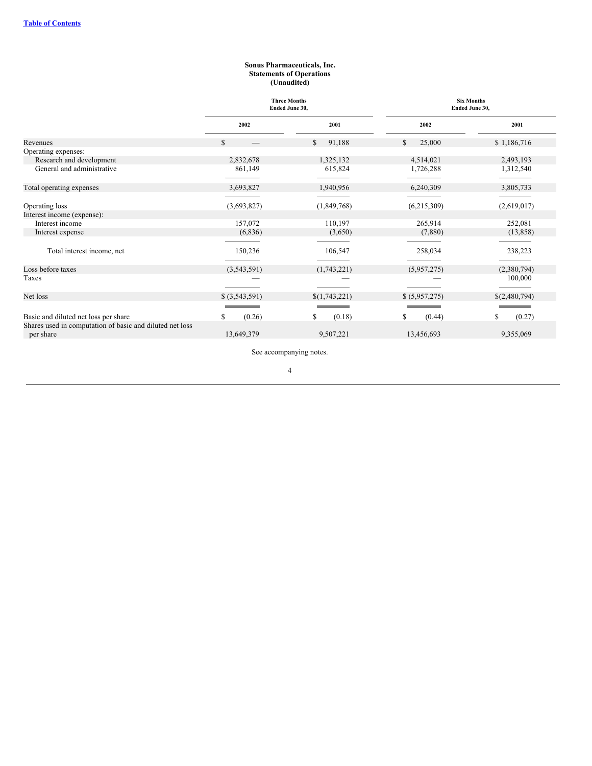#### **Sonus Pharmaceuticals, Inc. Statements of Operations (Unaudited)**

<span id="page-4-0"></span>

|                                                                                                  | <b>Three Months</b><br>Ended June 30, |               | <b>Six Months</b><br>Ended June 30, |               |
|--------------------------------------------------------------------------------------------------|---------------------------------------|---------------|-------------------------------------|---------------|
|                                                                                                  | 2002                                  | 2001          | 2002                                | 2001          |
| Revenues                                                                                         | $\mathcal{S}$                         | \$.<br>91,188 | S<br>25,000                         | \$1,186,716   |
| Operating expenses:                                                                              |                                       |               |                                     |               |
| Research and development                                                                         | 2,832,678                             | 1,325,132     | 4,514,021                           | 2,493,193     |
| General and administrative                                                                       | 861,149                               | 615,824       | 1,726,288                           | 1,312,540     |
| Total operating expenses                                                                         | 3,693,827                             | 1,940,956     | 6,240,309                           | 3,805,733     |
| Operating loss                                                                                   | (3,693,827)                           | (1,849,768)   | (6,215,309)                         | (2,619,017)   |
| Interest income (expense):                                                                       |                                       |               |                                     |               |
| Interest income                                                                                  | 157,072                               | 110,197       | 265,914                             | 252,081       |
| Interest expense                                                                                 | (6,836)                               | (3,650)       | (7,880)                             | (13,858)      |
|                                                                                                  |                                       |               |                                     |               |
| Total interest income, net                                                                       | 150,236                               | 106,547       | 258,034                             | 238,223       |
| Loss before taxes                                                                                | (3,543,591)                           | (1,743,221)   | (5,957,275)                         | (2,380,794)   |
| Taxes                                                                                            |                                       |               |                                     | 100,000       |
| Net loss                                                                                         | \$ (3,543,591)                        | \$(1,743,221) | \$ (5,957,275)                      | \$(2,480,794) |
|                                                                                                  |                                       |               |                                     |               |
| Basic and diluted net loss per share<br>Shares used in computation of basic and diluted net loss | (0.26)<br>S                           | (0.18)<br>\$  | S<br>(0.44)                         | \$<br>(0.27)  |
| per share                                                                                        | 13,649,379                            | 9,507,221     | 13,456,693                          | 9,355,069     |

See accompanying notes.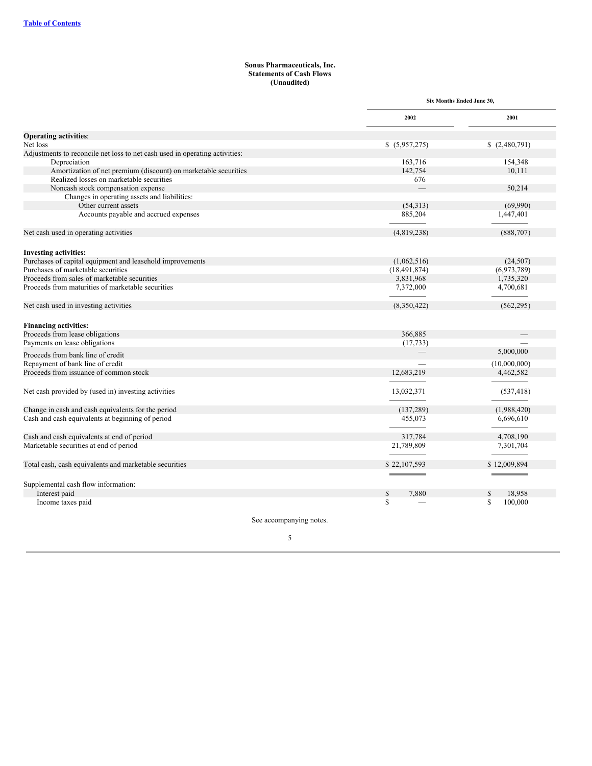#### **Sonus Pharmaceuticals, Inc. Statements of Cash Flows (Unaudited)**

<span id="page-5-0"></span>

|                                                                             | Six Months Ended June 30, |               |
|-----------------------------------------------------------------------------|---------------------------|---------------|
|                                                                             | 2002                      | 2001          |
| <b>Operating activities:</b>                                                |                           |               |
| Net loss                                                                    | \$(5,957,275)             | \$(2,480,791) |
| Adjustments to reconcile net loss to net cash used in operating activities: |                           |               |
| Depreciation                                                                | 163,716                   | 154,348       |
| Amortization of net premium (discount) on marketable securities             | 142,754                   | 10,111        |
| Realized losses on marketable securities                                    | 676                       |               |
| Noncash stock compensation expense                                          |                           | 50,214        |
| Changes in operating assets and liabilities:                                |                           |               |
| Other current assets                                                        | (54, 313)                 | (69,990)      |
| Accounts payable and accrued expenses                                       | 885,204                   | 1,447,401     |
| Net cash used in operating activities                                       | (4,819,238)               | (888, 707)    |
| <b>Investing activities:</b>                                                |                           |               |
| Purchases of capital equipment and leasehold improvements                   | (1,062,516)               | (24, 507)     |
| Purchases of marketable securities                                          | (18, 491, 874)            | (6,973,789)   |
| Proceeds from sales of marketable securities                                | 3,831,968                 | 1,735,320     |
| Proceeds from maturities of marketable securities                           | 7,372,000                 | 4,700,681     |
| Net cash used in investing activities                                       | (8,350,422)               | (562, 295)    |
| <b>Financing activities:</b>                                                |                           |               |
| Proceeds from lease obligations                                             | 366,885                   |               |
| Payments on lease obligations                                               | (17, 733)                 |               |
|                                                                             |                           | 5,000,000     |
| Proceeds from bank line of credit                                           |                           |               |
| Repayment of bank line of credit                                            |                           | (10,000,000)  |
| Proceeds from issuance of common stock                                      | 12,683,219                | 4,462,582     |
| Net cash provided by (used in) investing activities                         | 13,032,371                | (537, 418)    |
| Change in cash and cash equivalents for the period                          | (137, 289)                | (1,988,420)   |
| Cash and cash equivalents at beginning of period                            | 455,073                   | 6,696,610     |
| Cash and cash equivalents at end of period                                  | 317.784                   | 4,708,190     |
| Marketable securities at end of period                                      | 21,789,809                | 7,301,704     |
| Total cash, cash equivalents and marketable securities                      | \$22,107,593              | \$12,009,894  |
|                                                                             |                           |               |
| Supplemental cash flow information:                                         |                           |               |
| Interest paid                                                               | 7.880<br>\$               | 18,958        |
| Income taxes paid                                                           | S                         | 100,000<br>S  |

See accompanying notes.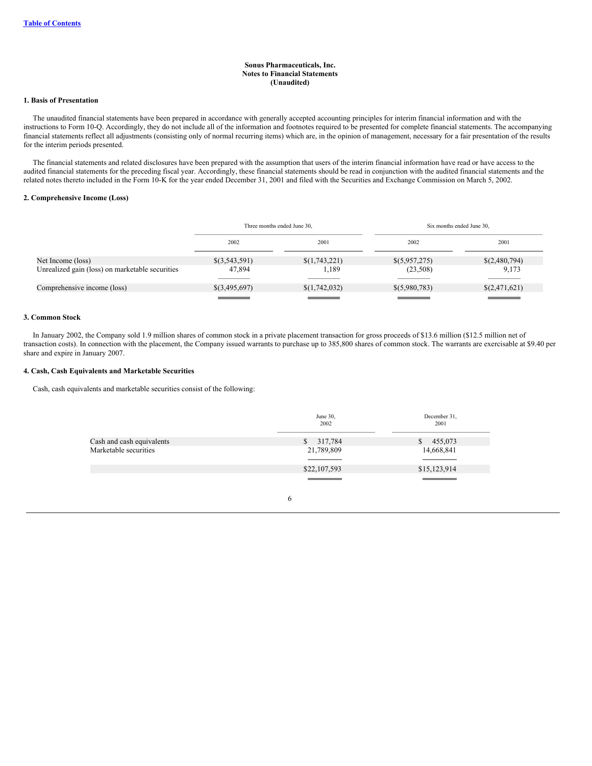#### **Sonus Pharmaceuticals, Inc. Notes to Financial Statements (Unaudited)**

### <span id="page-6-0"></span>**1. Basis of Presentation**

The unaudited financial statements have been prepared in accordance with generally accepted accounting principles for interim financial information and with the instructions to Form 10-Q. Accordingly, they do not include all of the information and footnotes required to be presented for complete financial statements. The accompanying financial statements reflect all adjustments (consisting only of normal recurring items) which are, in the opinion of management, necessary for a fair presentation of the results for the interim periods presented.

The financial statements and related disclosures have been prepared with the assumption that users of the interim financial information have read or have access to the audited financial statements for the preceding fiscal year. Accordingly, these financial statements should be read in conjunction with the audited financial statements and the related notes thereto included in the Form 10-K for the year ended December 31, 2001 and filed with the Securities and Exchange Commission on March 5, 2002.

#### **2. Comprehensive Income (Loss)**

|                                                 | Three months ended June 30, |               | Six months ended June 30, |               |
|-------------------------------------------------|-----------------------------|---------------|---------------------------|---------------|
|                                                 | 2002                        | 2001          | 2002                      | 2001          |
| Net Income (loss)                               | \$(3,543,591)               | \$(1,743,221) | \$(5,957,275)             | \$(2,480,794) |
| Unrealized gain (loss) on marketable securities | 47,894                      | l.189         | (23,508)                  | 9.173         |
| Comprehensive income (loss)                     | \$(3,495,697)               | \$(1,742,032) | \$(5,980,783)             | \$(2,471,621) |
|                                                 |                             |               |                           |               |

### **3. Common Stock**

In January 2002, the Company sold 1.9 million shares of common stock in a private placement transaction for gross proceeds of \$13.6 million (\$12.5 million net of transaction costs). In connection with the placement, the Company issued warrants to purchase up to 385,800 shares of common stock. The warrants are exercisable at \$9.40 per share and expire in January 2007.

### **4. Cash, Cash Equivalents and Marketable Securities**

Cash, cash equivalents and marketable securities consist of the following:

|                           | June 30,<br>2002            | December 31,<br>2001                                                                                                    |
|---------------------------|-----------------------------|-------------------------------------------------------------------------------------------------------------------------|
| Cash and cash equivalents | 317,784<br>\$               | 455,073<br><sup>S</sup>                                                                                                 |
| Marketable securities     | 21,789,809                  | 14,668,841                                                                                                              |
|                           | \$22,107,593                | \$15,123,914                                                                                                            |
|                           | <u> Tanzania (h. 1888).</u> | $\mathcal{L}(\mathcal{L})$ and $\mathcal{L}(\mathcal{L})$ and $\mathcal{L}(\mathcal{L})$ and $\mathcal{L}(\mathcal{L})$ |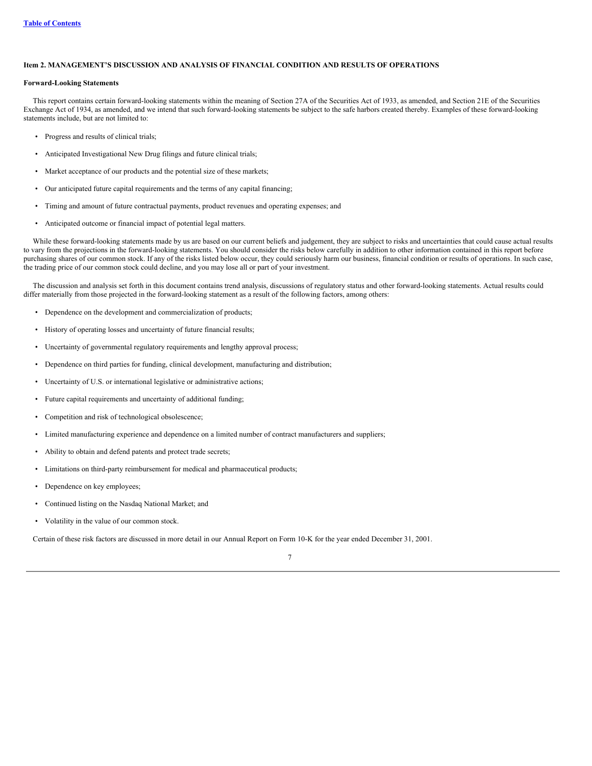## <span id="page-7-0"></span>**Item 2. MANAGEMENT'S DISCUSSION AND ANALYSIS OF FINANCIAL CONDITION AND RESULTS OF OPERATIONS**

#### **Forward-Looking Statements**

This report contains certain forward-looking statements within the meaning of Section 27A of the Securities Act of 1933, as amended, and Section 21E of the Securities Exchange Act of 1934, as amended, and we intend that such forward-looking statements be subject to the safe harbors created thereby. Examples of these forward-looking statements include, but are not limited to:

- Progress and results of clinical trials;
- Anticipated Investigational New Drug filings and future clinical trials;
- Market acceptance of our products and the potential size of these markets;
- Our anticipated future capital requirements and the terms of any capital financing;
- Timing and amount of future contractual payments, product revenues and operating expenses; and
- Anticipated outcome or financial impact of potential legal matters.

While these forward-looking statements made by us are based on our current beliefs and judgement, they are subject to risks and uncertainties that could cause actual results to vary from the projections in the forward-looking statements. You should consider the risks below carefully in addition to other information contained in this report before purchasing shares of our common stock. If any of the risks listed below occur, they could seriously harm our business, financial condition or results of operations. In such case, the trading price of our common stock could decline, and you may lose all or part of your investment.

The discussion and analysis set forth in this document contains trend analysis, discussions of regulatory status and other forward-looking statements. Actual results could differ materially from those projected in the forward-looking statement as a result of the following factors, among others:

- Dependence on the development and commercialization of products;
- History of operating losses and uncertainty of future financial results;
- Uncertainty of governmental regulatory requirements and lengthy approval process;
- Dependence on third parties for funding, clinical development, manufacturing and distribution;
- Uncertainty of U.S. or international legislative or administrative actions;
- Future capital requirements and uncertainty of additional funding;
- Competition and risk of technological obsolescence;
- Limited manufacturing experience and dependence on a limited number of contract manufacturers and suppliers;
- Ability to obtain and defend patents and protect trade secrets;
- Limitations on third-party reimbursement for medical and pharmaceutical products;
- Dependence on key employees;
- Continued listing on the Nasdaq National Market; and
- Volatility in the value of our common stock.

Certain of these risk factors are discussed in more detail in our Annual Report on Form 10-K for the year ended December 31, 2001.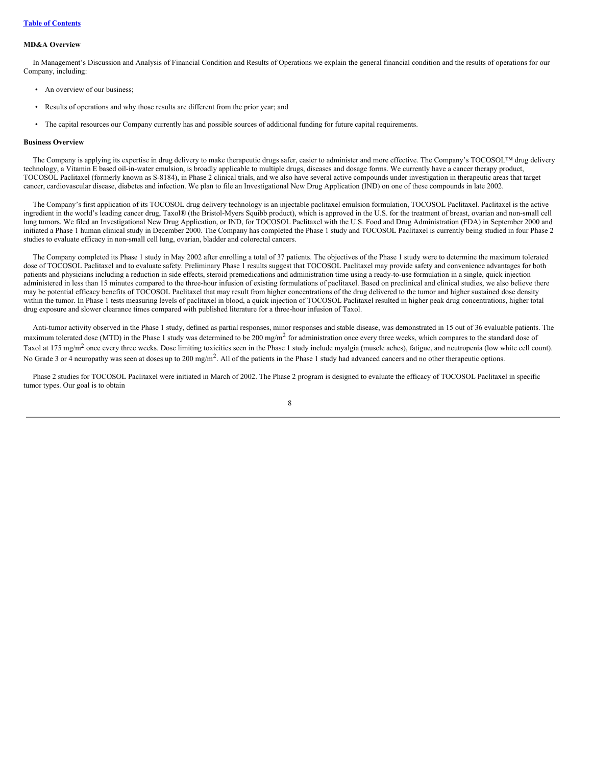#### **MD&A Overview**

In Management's Discussion and Analysis of Financial Condition and Results of Operations we explain the general financial condition and the results of operations for our Company, including:

- An overview of our business;
- Results of operations and why those results are different from the prior year; and
- The capital resources our Company currently has and possible sources of additional funding for future capital requirements.

### **Business Overview**

The Company is applying its expertise in drug delivery to make therapeutic drugs safer, easier to administer and more effective. The Company's TOCOSOL™ drug delivery technology, a Vitamin E based oil-in-water emulsion, is broadly applicable to multiple drugs, diseases and dosage forms. We currently have a cancer therapy product, TOCOSOL Paclitaxel (formerly known as S-8184), in Phase 2 clinical trials, and we also have several active compounds under investigation in therapeutic areas that target cancer, cardiovascular disease, diabetes and infection. We plan to file an Investigational New Drug Application (IND) on one of these compounds in late 2002.

The Company's first application of its TOCOSOL drug delivery technology is an injectable paclitaxel emulsion formulation, TOCOSOL Paclitaxel. Paclitaxel is the active ingredient in the world's leading cancer drug, Taxol® (the Bristol-Myers Squibb product), which is approved in the U.S. for the treatment of breast, ovarian and non-small cell lung tumors. We filed an Investigational New Drug Application, or IND, for TOCOSOL Paclitaxel with the U.S. Food and Drug Administration (FDA) in September 2000 and initiated a Phase 1 human clinical study in December 2000. The Company has completed the Phase 1 study and TOCOSOL Paclitaxel is currently being studied in four Phase 2 studies to evaluate efficacy in non-small cell lung, ovarian, bladder and colorectal cancers.

The Company completed its Phase 1 study in May 2002 after enrolling a total of 37 patients. The objectives of the Phase 1 study were to determine the maximum tolerated dose of TOCOSOL Paclitaxel and to evaluate safety. Preliminary Phase 1 results suggest that TOCOSOL Paclitaxel may provide safety and convenience advantages for both patients and physicians including a reduction in side effects, steroid premedications and administration time using a ready-to-use formulation in a single, quick injection administered in less than 15 minutes compared to the three-hour infusion of existing formulations of paclitaxel. Based on preclinical and clinical studies, we also believe there may be potential efficacy benefits of TOCOSOL Paclitaxel that may result from higher concentrations of the drug delivered to the tumor and higher sustained dose density within the tumor. In Phase 1 tests measuring levels of paclitaxel in blood, a quick injection of TOCOSOL Paclitaxel resulted in higher peak drug concentrations, higher total drug exposure and slower clearance times compared with published literature for a three-hour infusion of Taxol.

Anti-tumor activity observed in the Phase 1 study, defined as partial responses, minor responses and stable disease, was demonstrated in 15 out of 36 evaluable patients. The maximum tolerated dose (MTD) in the Phase 1 study was determined to be 200 mg/m<sup>2</sup> for administration once every three weeks, which compares to the standard dose of Taxol at 175 mg/m<sup>2</sup> once every three weeks. Dose limiting toxicities seen in the Phase 1 study include myalgia (muscle aches), fatigue, and neutropenia (low white cell count). No Grade 3 or 4 neuropathy was seen at doses up to 200 mg/m<sup>2</sup>. All of the patients in the Phase 1 study had advanced cancers and no other therapeutic options.

Phase 2 studies for TOCOSOL Paclitaxel were initiated in March of 2002. The Phase 2 program is designed to evaluate the efficacy of TOCOSOL Paclitaxel in specific tumor types. Our goal is to obtain

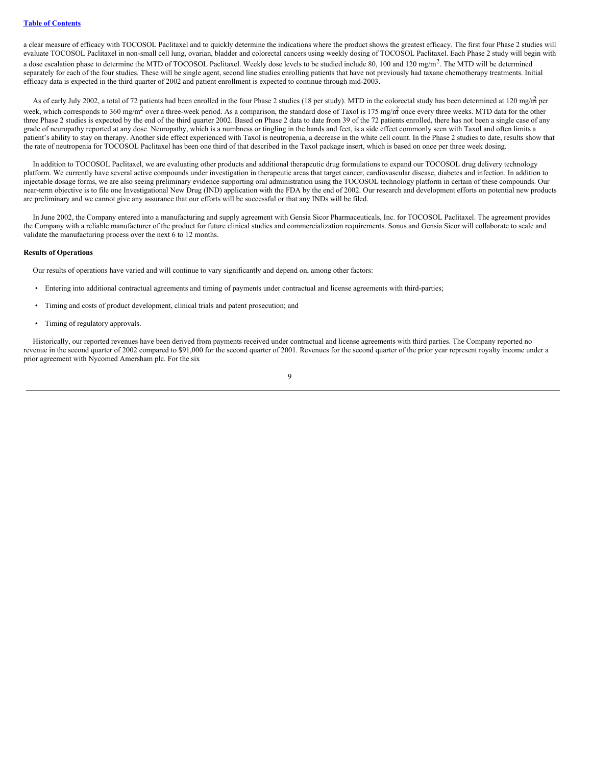a clear measure of efficacy with TOCOSOL Paclitaxel and to quickly determine the indications where the product shows the greatest efficacy. The first four Phase 2 studies will evaluate TOCOSOL Paclitaxel in non-small cell lung, ovarian, bladder and colorectal cancers using weekly dosing of TOCOSOL Paclitaxel. Each Phase 2 study will begin with a dose escalation phase to determine the MTD of TOCOSOL Paclitaxel. Weekly dose levels to be studied include 80, 100 and 120 mg/m<sup>2</sup>. The MTD will be determined separately for each of the four studies. These will be single agent, second line studies enrolling patients that have not previously had taxane chemotherapy treatments. Initial efficacy data is expected in the third quarter of 2002 and patient enrollment is expected to continue through mid-2003.

As of early July 2002, a total of 72 patients had been enrolled in the four Phase 2 studies (18 per study). MTD in the colorectal study has been determined at 120 mg/m per week, which corresponds to 360 mg/m<sup>2</sup> over a three-week period. As a comparison, the standard dose of Taxol is 175 mg/m<sup>2</sup> once every three weeks. MTD data for the other three Phase 2 studies is expected by the end of the third quarter 2002. Based on Phase 2 data to date from 39 of the 72 patients enrolled, there has not been a single case of any grade of neuropathy reported at any dose. Neuropathy, which is a numbness or tingling in the hands and feet, is a side effect commonly seen with Taxol and often limits a patient's ability to stay on therapy. Another side effect experienced with Taxol is neutropenia, a decrease in the white cell count. In the Phase 2 studies to date, results show that the rate of neutropenia for TOCOSOL Paclitaxel has been one third of that described in the Taxol package insert, which is based on once per three week dosing.

In addition to TOCOSOL Paclitaxel, we are evaluating other products and additional therapeutic drug formulations to expand our TOCOSOL drug delivery technology platform. We currently have several active compounds under investigation in therapeutic areas that target cancer, cardiovascular disease, diabetes and infection. In addition to injectable dosage forms, we are also seeing preliminary evidence supporting oral administration using the TOCOSOL technology platform in certain of these compounds. Our near-term objective is to file one Investigational New Drug (IND) application with the FDA by the end of 2002. Our research and development efforts on potential new products are preliminary and we cannot give any assurance that our efforts will be successful or that any INDs will be filed.

In June 2002, the Company entered into a manufacturing and supply agreement with Gensia Sicor Pharmaceuticals, Inc. for TOCOSOL Paclitaxel. The agreement provides the Company with a reliable manufacturer of the product for future clinical studies and commercialization requirements. Sonus and Gensia Sicor will collaborate to scale and validate the manufacturing process over the next 6 to 12 months.

### **Results of Operations**

Our results of operations have varied and will continue to vary significantly and depend on, among other factors:

- Entering into additional contractual agreements and timing of payments under contractual and license agreements with third-parties;
- Timing and costs of product development, clinical trials and patent prosecution; and
- Timing of regulatory approvals.

Historically, our reported revenues have been derived from payments received under contractual and license agreements with third parties. The Company reported no revenue in the second quarter of 2002 compared to \$91,000 for the second quarter of 2001. Revenues for the second quarter of the prior year represent royalty income under a prior agreement with Nycomed Amersham plc. For the six

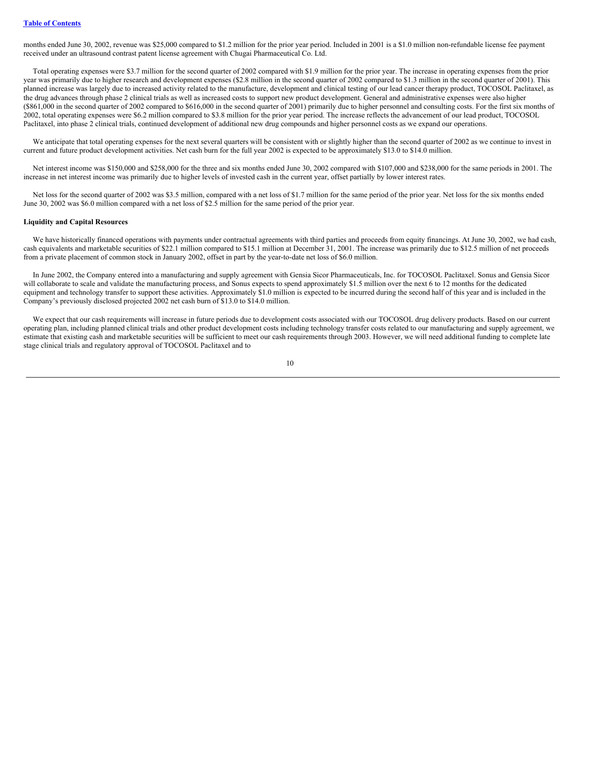months ended June 30, 2002, revenue was \$25,000 compared to \$1.2 million for the prior year period. Included in 2001 is a \$1.0 million non-refundable license fee payment received under an ultrasound contrast patent license agreement with Chugai Pharmaceutical Co. Ltd.

Total operating expenses were \$3.7 million for the second quarter of 2002 compared with \$1.9 million for the prior year. The increase in operating expenses from the prior year was primarily due to higher research and development expenses (\$2.8 million in the second quarter of 2002 compared to \$1.3 million in the second quarter of 2001). This planned increase was largely due to increased activity related to the manufacture, development and clinical testing of our lead cancer therapy product, TOCOSOL Paclitaxel, as the drug advances through phase 2 clinical trials as well as increased costs to support new product development. General and administrative expenses were also higher (\$861,000 in the second quarter of 2002 compared to \$616,000 in the second quarter of 2001) primarily due to higher personnel and consulting costs. For the first six months of 2002, total operating expenses were \$6.2 million compared to \$3.8 million for the prior year period. The increase reflects the advancement of our lead product, TOCOSOL Paclitaxel, into phase 2 clinical trials, continued development of additional new drug compounds and higher personnel costs as we expand our operations.

We anticipate that total operating expenses for the next several quarters will be consistent with or slightly higher than the second quarter of 2002 as we continue to invest in current and future product development activities. Net cash burn for the full year 2002 is expected to be approximately \$13.0 to \$14.0 million.

Net interest income was \$150,000 and \$258,000 for the three and six months ended June 30, 2002 compared with \$107,000 and \$238,000 for the same periods in 2001. The increase in net interest income was primarily due to higher levels of invested cash in the current year, offset partially by lower interest rates.

Net loss for the second quarter of 2002 was \$3.5 million, compared with a net loss of \$1.7 million for the same period of the prior year. Net loss for the six months ended June 30, 2002 was \$6.0 million compared with a net loss of \$2.5 million for the same period of the prior year.

#### **Liquidity and Capital Resources**

We have historically financed operations with payments under contractual agreements with third parties and proceeds from equity financings. At June 30, 2002, we had cash, cash equivalents and marketable securities of \$22.1 million compared to \$15.1 million at December 31, 2001. The increase was primarily due to \$12.5 million of net proceeds from a private placement of common stock in January 2002, offset in part by the year-to-date net loss of \$6.0 million.

In June 2002, the Company entered into a manufacturing and supply agreement with Gensia Sicor Pharmaceuticals, Inc. for TOCOSOL Paclitaxel. Sonus and Gensia Sicor will collaborate to scale and validate the manufacturing process, and Sonus expects to spend approximately \$1.5 million over the next 6 to 12 months for the dedicated equipment and technology transfer to support these activities. Approximately \$1.0 million is expected to be incurred during the second half of this year and is included in the Company's previously disclosed projected 2002 net cash burn of \$13.0 to \$14.0 million.

We expect that our cash requirements will increase in future periods due to development costs associated with our TOCOSOL drug delivery products. Based on our current operating plan, including planned clinical trials and other product development costs including technology transfer costs related to our manufacturing and supply agreement, we estimate that existing cash and marketable securities will be sufficient to meet our cash requirements through 2003. However, we will need additional funding to complete late stage clinical trials and regulatory approval of TOCOSOL Paclitaxel and to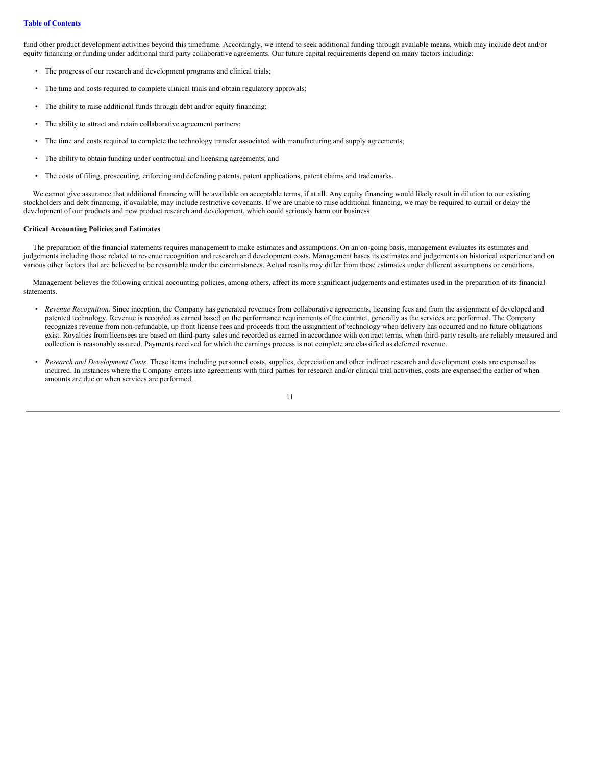fund other product development activities beyond this timeframe. Accordingly, we intend to seek additional funding through available means, which may include debt and/or equity financing or funding under additional third party collaborative agreements. Our future capital requirements depend on many factors including:

- The progress of our research and development programs and clinical trials;
- The time and costs required to complete clinical trials and obtain regulatory approvals;
- The ability to raise additional funds through debt and/or equity financing;
- The ability to attract and retain collaborative agreement partners;
- The time and costs required to complete the technology transfer associated with manufacturing and supply agreements;
- The ability to obtain funding under contractual and licensing agreements; and
- The costs of filing, prosecuting, enforcing and defending patents, patent applications, patent claims and trademarks.

We cannot give assurance that additional financing will be available on acceptable terms, if at all. Any equity financing would likely result in dilution to our existing stockholders and debt financing, if available, may include restrictive covenants. If we are unable to raise additional financing, we may be required to curtail or delay the development of our products and new product research and development, which could seriously harm our business.

### **Critical Accounting Policies and Estimates**

The preparation of the financial statements requires management to make estimates and assumptions. On an on-going basis, management evaluates its estimates and judgements including those related to revenue recognition and research and development costs. Management bases its estimates and judgements on historical experience and on various other factors that are believed to be reasonable under the circumstances. Actual results may differ from these estimates under different assumptions or conditions.

Management believes the following critical accounting policies, among others, affect its more significant judgements and estimates used in the preparation of its financial statements.

- *Revenue Recognition*. Since inception, the Company has generated revenues from collaborative agreements, licensing fees and from the assignment of developed and patented technology. Revenue is recorded as earned based on the performance requirements of the contract, generally as the services are performed. The Company recognizes revenue from non-refundable, up front license fees and proceeds from the assignment of technology when delivery has occurred and no future obligations exist. Royalties from licensees are based on third-party sales and recorded as earned in accordance with contract terms, when third-party results are reliably measured and collection is reasonably assured. Payments received for which the earnings process is not complete are classified as deferred revenue.
- *Research and Development Costs*. These items including personnel costs, supplies, depreciation and other indirect research and development costs are expensed as incurred. In instances where the Company enters into agreements with third parties for research and/or clinical trial activities, costs are expensed the earlier of when amounts are due or when services are performed.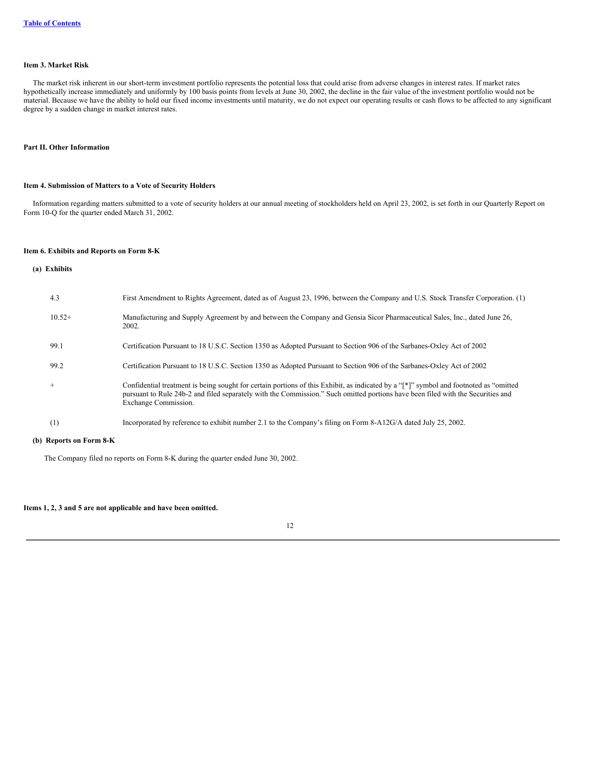### <span id="page-12-0"></span>**Item 3. Market Risk**

The market risk inherent in our short-term investment portfolio represents the potential loss that could arise from adverse changes in interest rates. If market rates hypothetically increase immediately and uniformly by 100 basis points from levels at June 30, 2002, the decline in the fair value of the investment portfolio would not be material. Because we have the ability to hold our fixed income investments until maturity, we do not expect our operating results or cash flows to be affected to any significant degree by a sudden change in market interest rates.

#### <span id="page-12-2"></span><span id="page-12-1"></span>**Part II. Other Information**

### **Item 4. Submission of Matters to a Vote of Security Holders**

Information regarding matters submitted to a vote of security holders at our annual meeting of stockholders held on April 23, 2002, is set forth in our Quarterly Report on Form 10-Q for the quarter ended March 31, 2002.

### <span id="page-12-3"></span>**Item 6. Exhibits and Reports on Form 8-K**

#### **(a) Exhibits**

| 4.3      | First Amendment to Rights Agreement, dated as of August 23, 1996, between the Company and U.S. Stock Transfer Corporation. (1)                                                                                                                                                                   |
|----------|--------------------------------------------------------------------------------------------------------------------------------------------------------------------------------------------------------------------------------------------------------------------------------------------------|
| $10.52+$ | Manufacturing and Supply Agreement by and between the Company and Gensia Sicor Pharmaceutical Sales, Inc., dated June 26,<br>2002.                                                                                                                                                               |
| 99.1     | Certification Pursuant to 18 U.S.C. Section 1350 as Adopted Pursuant to Section 906 of the Sarbanes-Oxley Act of 2002                                                                                                                                                                            |
| 99.2     | Certification Pursuant to 18 U.S.C. Section 1350 as Adopted Pursuant to Section 906 of the Sarbanes-Oxley Act of 2002                                                                                                                                                                            |
| $^{+}$   | Confidential treatment is being sought for certain portions of this Exhibit, as indicated by a "[*]" symbol and footnoted as "omitted<br>pursuant to Rule 24b-2 and filed separately with the Commission." Such omitted portions have been filed with the Securities and<br>Exchange Commission. |
| (1)      | Incorporated by reference to exhibit number 2.1 to the Company's filing on Form 8-A12G/A dated July 25, 2002.                                                                                                                                                                                    |

### **(b) Reports on Form 8-K**

The Company filed no reports on Form 8-K during the quarter ended June 30, 2002.

### <span id="page-12-4"></span>**Items 1, 2, 3 and 5 are not applicable and have been omitted.**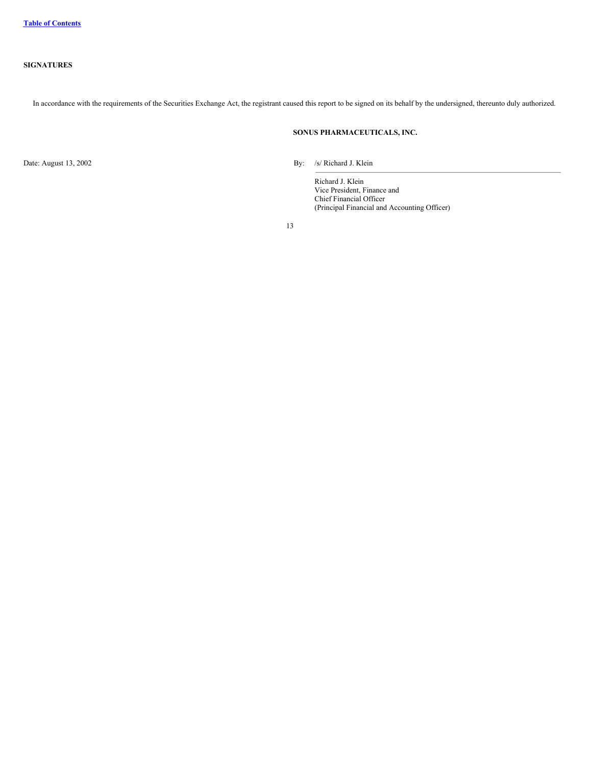<span id="page-13-0"></span>In accordance with the requirements of the Securities Exchange Act, the registrant caused this report to be signed on its behalf by the undersigned, thereunto duly authorized.

### **SONUS PHARMACEUTICALS, INC.**

Date: August 13, 2002 By: /s/ Richard J. Klein

Richard J. Klein Vice President, Finance and Chief Financial Officer (Principal Financial and Accounting Officer)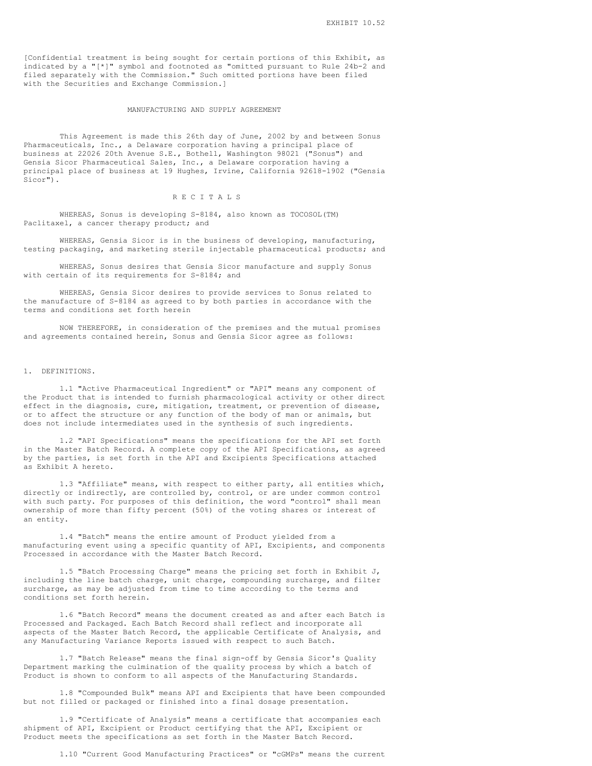[Confidential treatment is being sought for certain portions of this Exhibit, as indicated by a " $[*]$ " symbol and footnoted as "omitted pursuant to Rule 24b-2 and filed separately with the Commission." Such omitted portions have been filed with the Securities and Exchange Commission.]

#### MANUFACTURING AND SUPPLY AGREEMENT

This Agreement is made this 26th day of June, 2002 by and between Sonus Pharmaceuticals, Inc., a Delaware corporation having a principal place of business at 22026 20th Avenue S.E., Bothell, Washington 98021 ("Sonus") and Gensia Sicor Pharmaceutical Sales, Inc., a Delaware corporation having a principal place of business at 19 Hughes, Irvine, California 92618-1902 ("Gensia Sicor").

#### R E C I T A L S

WHEREAS, Sonus is developing S-8184, also known as TOCOSOL(TM) Paclitaxel, a cancer therapy product; and

WHEREAS, Gensia Sicor is in the business of developing, manufacturing, testing packaging, and marketing sterile injectable pharmaceutical products; and

WHEREAS, Sonus desires that Gensia Sicor manufacture and supply Sonus with certain of its requirements for S-8184; and

WHEREAS, Gensia Sicor desires to provide services to Sonus related to the manufacture of S-8184 as agreed to by both parties in accordance with the terms and conditions set forth herein

NOW THEREFORE, in consideration of the premises and the mutual promises and agreements contained herein, Sonus and Gensia Sicor agree as follows:

#### 1. DEFINITIONS.

1.1 "Active Pharmaceutical Ingredient" or "API" means any component of the Product that is intended to furnish pharmacological activity or other direct effect in the diagnosis, cure, mitigation, treatment, or prevention of disease, or to affect the structure or any function of the body of man or animals, but does not include intermediates used in the synthesis of such ingredients.

1.2 "API Specifications" means the specifications for the API set forth in the Master Batch Record. A complete copy of the API Specifications, as agreed by the parties, is set forth in the API and Excipients Specifications attached as Exhibit A hereto.

1.3 "Affiliate" means, with respect to either party, all entities which, directly or indirectly, are controlled by, control, or are under common control with such party. For purposes of this definition, the word "control" shall mean ownership of more than fifty percent (50%) of the voting shares or interest of an entity.

1.4 "Batch" means the entire amount of Product yielded from a manufacturing event using a specific quantity of API, Excipients, and components Processed in accordance with the Master Batch Record.

1.5 "Batch Processing Charge" means the pricing set forth in Exhibit J, including the line batch charge, unit charge, compounding surcharge, and filter surcharge, as may be adjusted from time to time according to the terms and conditions set forth herein.

1.6 "Batch Record" means the document created as and after each Batch is Processed and Packaged. Each Batch Record shall reflect and incorporate all aspects of the Master Batch Record, the applicable Certificate of Analysis, and any Manufacturing Variance Reports issued with respect to such Batch.

1.7 "Batch Release" means the final sign-off by Gensia Sicor's Quality Department marking the culmination of the quality process by which a batch of Product is shown to conform to all aspects of the Manufacturing Standards.

1.8 "Compounded Bulk" means API and Excipients that have been compounded but not filled or packaged or finished into a final dosage presentation.

1.9 "Certificate of Analysis" means a certificate that accompanies each shipment of API, Excipient or Product certifying that the API, Excipient or Product meets the specifications as set forth in the Master Batch Record.

1.10 "Current Good Manufacturing Practices" or "cGMPs" means the current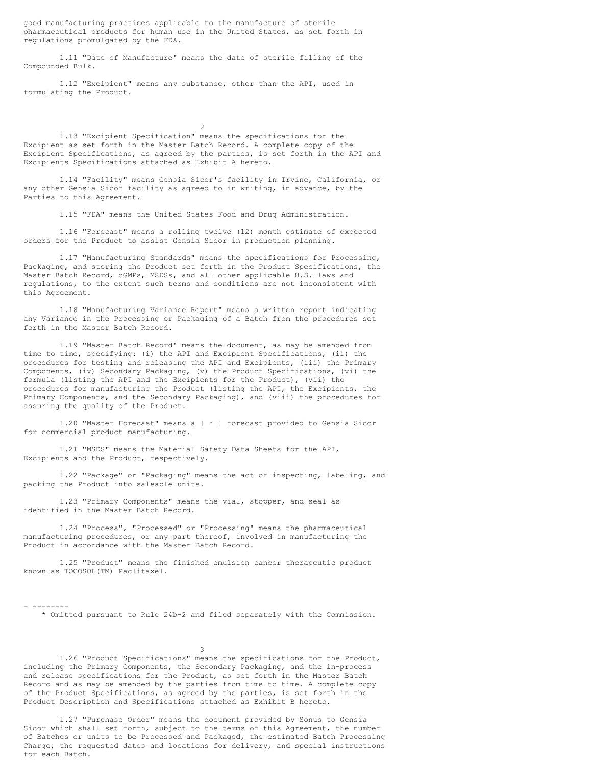good manufacturing practices applicable to the manufacture of sterile pharmaceutical products for human use in the United States, as set forth in regulations promulgated by the FDA.

1.11 "Date of Manufacture" means the date of sterile filling of the Compounded Bulk.

1.12 "Excipient" means any substance, other than the API, used in formulating the Product.

1.13 "Excipient Specification" means the specifications for the Excipient as set forth in the Master Batch Record. A complete copy of the Excipient Specifications, as agreed by the parties, is set forth in the API and Excipients Specifications attached as Exhibit A hereto.

2

1.14 "Facility" means Gensia Sicor's facility in Irvine, California, or any other Gensia Sicor facility as agreed to in writing, in advance, by the Parties to this Agreement.

1.15 "FDA" means the United States Food and Drug Administration.

1.16 "Forecast" means a rolling twelve (12) month estimate of expected orders for the Product to assist Gensia Sicor in production planning.

1.17 "Manufacturing Standards" means the specifications for Processing, Packaging, and storing the Product set forth in the Product Specifications, the Master Batch Record, cGMPs, MSDSs, and all other applicable U.S. laws and regulations, to the extent such terms and conditions are not inconsistent with this Agreement.

1.18 "Manufacturing Variance Report" means a written report indicating any Variance in the Processing or Packaging of a Batch from the procedures set forth in the Master Batch Record.

1.19 "Master Batch Record" means the document, as may be amended from time to time, specifying: (i) the API and Excipient Specifications, (ii) the procedures for testing and releasing the API and Excipients, (iii) the Primary Components, (iv) Secondary Packaging, (v) the Product Specifications, (vi) the formula (listing the API and the Excipients for the Product), (vii) the procedures for manufacturing the Product (listing the API, the Excipients, the Primary Components, and the Secondary Packaging), and (viii) the procedures for assuring the quality of the Product.

1.20 "Master Forecast" means a [ \* ] forecast provided to Gensia Sicor for commercial product manufacturing.

1.21 "MSDS" means the Material Safety Data Sheets for the API, Excipients and the Product, respectively.

1.22 "Package" or "Packaging" means the act of inspecting, labeling, and packing the Product into saleable units.

1.23 "Primary Components" means the vial, stopper, and seal as identified in the Master Batch Record.

1.24 "Process", "Processed" or "Processing" means the pharmaceutical manufacturing procedures, or any part thereof, involved in manufacturing the Product in accordance with the Master Batch Record.

1.25 "Product" means the finished emulsion cancer therapeutic product known as TOCOSOL(TM) Paclitaxel.

- --------

\* Omitted pursuant to Rule 24b-2 and filed separately with the Commission.

3

1.26 "Product Specifications" means the specifications for the Product, including the Primary Components, the Secondary Packaging, and the in-process and release specifications for the Product, as set forth in the Master Batch Record and as may be amended by the parties from time to time. A complete copy of the Product Specifications, as agreed by the parties, is set forth in the Product Description and Specifications attached as Exhibit B hereto.

1.27 "Purchase Order" means the document provided by Sonus to Gensia Sicor which shall set forth, subject to the terms of this Agreement, the number of Batches or units to be Processed and Packaged, the estimated Batch Processing Charge, the requested dates and locations for delivery, and special instructions for each Batch.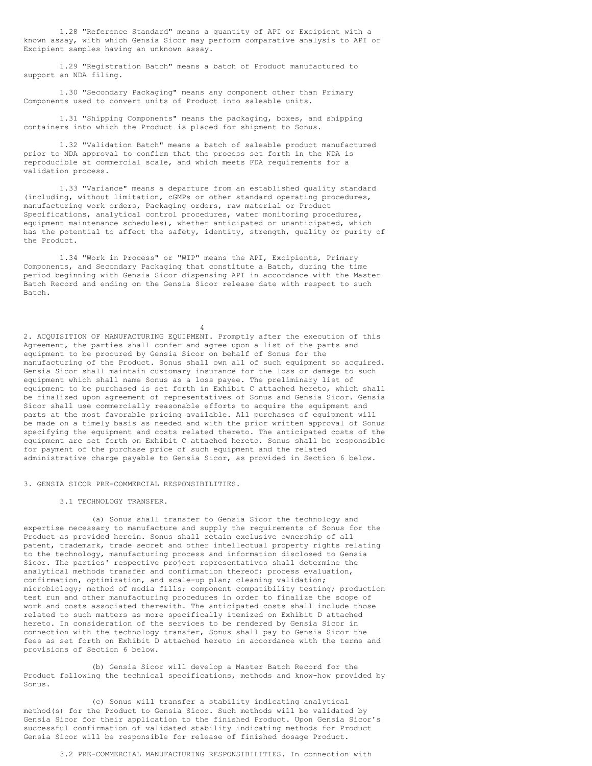1.28 "Reference Standard" means a quantity of API or Excipient with a known assay, with which Gensia Sicor may perform comparative analysis to API or Excipient samples having an unknown assay.

1.29 "Registration Batch" means a batch of Product manufactured to support an NDA filing.

1.30 "Secondary Packaging" means any component other than Primary Components used to convert units of Product into saleable units.

1.31 "Shipping Components" means the packaging, boxes, and shipping containers into which the Product is placed for shipment to Sonus.

1.32 "Validation Batch" means a batch of saleable product manufactured prior to NDA approval to confirm that the process set forth in the NDA is reproducible at commercial scale, and which meets FDA requirements for a validation process.

1.33 "Variance" means a departure from an established quality standard (including, without limitation, cGMPs or other standard operating procedures, manufacturing work orders, Packaging orders, raw material or Product Specifications, analytical control procedures, water monitoring procedures, equipment maintenance schedules), whether anticipated or unanticipated, which has the potential to affect the safety, identity, strength, quality or purity of the Product.

1.34 "Work in Process" or "WIP" means the API, Excipients, Primary Components, and Secondary Packaging that constitute a Batch, during the time period beginning with Gensia Sicor dispensing API in accordance with the Master Batch Record and ending on the Gensia Sicor release date with respect to such Batch.

4

2. ACQUISITION OF MANUFACTURING EQUIPMENT. Promptly after the execution of this Agreement, the parties shall confer and agree upon a list of the parts and equipment to be procured by Gensia Sicor on behalf of Sonus for the manufacturing of the Product. Sonus shall own all of such equipment so acquired. Gensia Sicor shall maintain customary insurance for the loss or damage to such equipment which shall name Sonus as a loss payee. The preliminary list of equipment to be purchased is set forth in Exhibit C attached hereto, which shall be finalized upon agreement of representatives of Sonus and Gensia Sicor. Gensia Sicor shall use commercially reasonable efforts to acquire the equipment and parts at the most favorable pricing available. All purchases of equipment will be made on a timely basis as needed and with the prior written approval of Sonus specifying the equipment and costs related thereto. The anticipated costs of the equipment are set forth on Exhibit C attached hereto. Sonus shall be responsible for payment of the purchase price of such equipment and the related administrative charge payable to Gensia Sicor, as provided in Section 6 below.

3. GENSIA SICOR PRE-COMMERCIAL RESPONSIBILITIES.

#### 3.1 TECHNOLOGY TRANSFER.

(a) Sonus shall transfer to Gensia Sicor the technology and expertise necessary to manufacture and supply the requirements of Sonus for the Product as provided herein. Sonus shall retain exclusive ownership of all patent, trademark, trade secret and other intellectual property rights relating to the technology, manufacturing process and information disclosed to Gensia Sicor. The parties' respective project representatives shall determine the analytical methods transfer and confirmation thereof; process evaluation, confirmation, optimization, and scale-up plan; cleaning validation; microbiology; method of media fills; component compatibility testing; production test run and other manufacturing procedures in order to finalize the scope of work and costs associated therewith. The anticipated costs shall include those related to such matters as more specifically itemized on Exhibit D attached hereto. In consideration of the services to be rendered by Gensia Sicor in connection with the technology transfer, Sonus shall pay to Gensia Sicor the fees as set forth on Exhibit D attached hereto in accordance with the terms and provisions of Section 6 below.

(b) Gensia Sicor will develop a Master Batch Record for the Product following the technical specifications, methods and know-how provided by Sonus.

(c) Sonus will transfer a stability indicating analytical method(s) for the Product to Gensia Sicor. Such methods will be validated by Gensia Sicor for their application to the finished Product. Upon Gensia Sicor's successful confirmation of validated stability indicating methods for Product Gensia Sicor will be responsible for release of finished dosage Product.

3.2 PRE-COMMERCIAL MANUFACTURING RESPONSIBILITIES. In connection with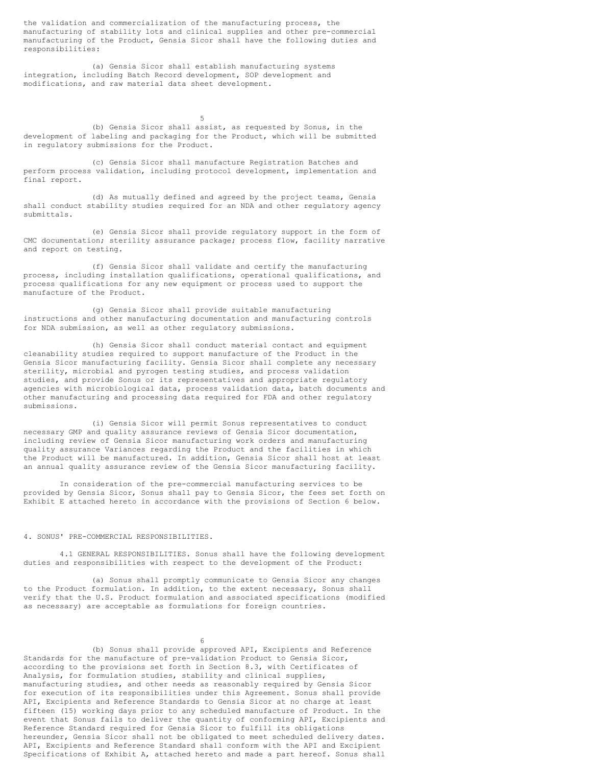the validation and commercialization of the manufacturing process, the manufacturing of stability lots and clinical supplies and other pre-commercial manufacturing of the Product, Gensia Sicor shall have the following duties and responsibilities:

(a) Gensia Sicor shall establish manufacturing systems integration, including Batch Record development, SOP development and modifications, and raw material data sheet development.

5 (b) Gensia Sicor shall assist, as requested by Sonus, in the development of labeling and packaging for the Product, which will be submitted in regulatory submissions for the Product.

(c) Gensia Sicor shall manufacture Registration Batches and perform process validation, including protocol development, implementation and final report.

(d) As mutually defined and agreed by the project teams, Gensia shall conduct stability studies required for an NDA and other regulatory agency submittals.

(e) Gensia Sicor shall provide regulatory support in the form of CMC documentation; sterility assurance package; process flow, facility narrative and report on testing.

(f) Gensia Sicor shall validate and certify the manufacturing process, including installation qualifications, operational qualifications, and process qualifications for any new equipment or process used to support the manufacture of the Product.

(g) Gensia Sicor shall provide suitable manufacturing instructions and other manufacturing documentation and manufacturing controls for NDA submission, as well as other regulatory submissions.

(h) Gensia Sicor shall conduct material contact and equipment cleanability studies required to support manufacture of the Product in the Gensia Sicor manufacturing facility. Gensia Sicor shall complete any necessary sterility, microbial and pyrogen testing studies, and process validation studies, and provide Sonus or its representatives and appropriate regulatory agencies with microbiological data, process validation data, batch documents and other manufacturing and processing data required for FDA and other regulatory submissions.

(i) Gensia Sicor will permit Sonus representatives to conduct necessary GMP and quality assurance reviews of Gensia Sicor documentation, including review of Gensia Sicor manufacturing work orders and manufacturing quality assurance Variances regarding the Product and the facilities in which the Product will be manufactured. In addition, Gensia Sicor shall host at least an annual quality assurance review of the Gensia Sicor manufacturing facility.

In consideration of the pre-commercial manufacturing services to be provided by Gensia Sicor, Sonus shall pay to Gensia Sicor, the fees set forth on Exhibit E attached hereto in accordance with the provisions of Section 6 below.

#### 4. SONUS' PRE-COMMERCIAL RESPONSIBILITIES.

4.1 GENERAL RESPONSIBILITIES. Sonus shall have the following development duties and responsibilities with respect to the development of the Product:

(a) Sonus shall promptly communicate to Gensia Sicor any changes to the Product formulation. In addition, to the extent necessary, Sonus shall verify that the U.S. Product formulation and associated specifications (modified as necessary) are acceptable as formulations for foreign countries.

6

(b) Sonus shall provide approved API, Excipients and Reference Standards for the manufacture of pre-validation Product to Gensia Sicor, according to the provisions set forth in Section 8.3, with Certificates of Analysis, for formulation studies, stability and clinical supplies, manufacturing studies, and other needs as reasonably required by Gensia Sicor for execution of its responsibilities under this Agreement. Sonus shall provide API, Excipients and Reference Standards to Gensia Sicor at no charge at least fifteen (15) working days prior to any scheduled manufacture of Product. In the event that Sonus fails to deliver the quantity of conforming API, Excipients and Reference Standard required for Gensia Sicor to fulfill its obligations hereunder, Gensia Sicor shall not be obligated to meet scheduled delivery dates. API, Excipients and Reference Standard shall conform with the API and Excipient Specifications of Exhibit A, attached hereto and made a part hereof. Sonus shall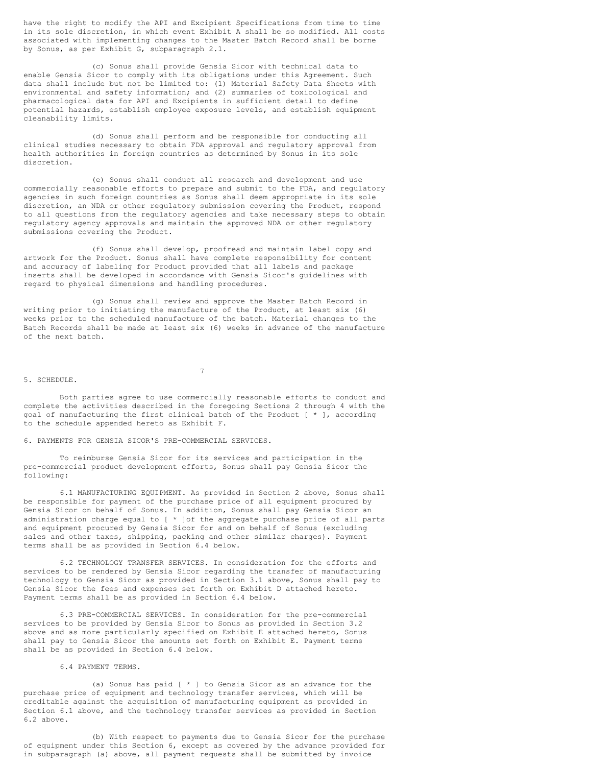have the right to modify the API and Excipient Specifications from time to time in its sole discretion, in which event Exhibit A shall be so modified. All costs associated with implementing changes to the Master Batch Record shall be borne by Sonus, as per Exhibit G, subparagraph 2.1.

(c) Sonus shall provide Gensia Sicor with technical data to enable Gensia Sicor to comply with its obligations under this Agreement. Such data shall include but not be limited to: (1) Material Safety Data Sheets with environmental and safety information; and (2) summaries of toxicological and pharmacological data for API and Excipients in sufficient detail to define potential hazards, establish employee exposure levels, and establish equipment cleanability limits.

(d) Sonus shall perform and be responsible for conducting all clinical studies necessary to obtain FDA approval and regulatory approval from health authorities in foreign countries as determined by Sonus in its sole discretion.

(e) Sonus shall conduct all research and development and use commercially reasonable efforts to prepare and submit to the FDA, and regulatory agencies in such foreign countries as Sonus shall deem appropriate in its sole discretion, an NDA or other regulatory submission covering the Product, respond to all questions from the regulatory agencies and take necessary steps to obtain regulatory agency approvals and maintain the approved NDA or other regulatory submissions covering the Product.

(f) Sonus shall develop, proofread and maintain label copy and artwork for the Product. Sonus shall have complete responsibility for content and accuracy of labeling for Product provided that all labels and package inserts shall be developed in accordance with Gensia Sicor's guidelines with regard to physical dimensions and handling procedures.

(g) Sonus shall review and approve the Master Batch Record in writing prior to initiating the manufacture of the Product, at least six (6) weeks prior to the scheduled manufacture of the batch. Material changes to the Batch Records shall be made at least six (6) weeks in advance of the manufacture of the next batch.

#### 5. SCHEDULE.

Both parties agree to use commercially reasonable efforts to conduct and complete the activities described in the foregoing Sections 2 through 4 with the goal of manufacturing the first clinical batch of the Product [ \* ], according to the schedule appended hereto as Exhibit F.

7

6. PAYMENTS FOR GENSIA SICOR'S PRE-COMMERCIAL SERVICES.

To reimburse Gensia Sicor for its services and participation in the pre-commercial product development efforts, Sonus shall pay Gensia Sicor the following:

6.1 MANUFACTURING EQUIPMENT. As provided in Section 2 above, Sonus shall be responsible for payment of the purchase price of all equipment procured by Gensia Sicor on behalf of Sonus. In addition, Sonus shall pay Gensia Sicor an administration charge equal to [ \* ]of the aggregate purchase price of all parts and equipment procured by Gensia Sicor for and on behalf of Sonus (excluding sales and other taxes, shipping, packing and other similar charges). Payment terms shall be as provided in Section 6.4 below.

6.2 TECHNOLOGY TRANSFER SERVICES. In consideration for the efforts and services to be rendered by Gensia Sicor regarding the transfer of manufacturing technology to Gensia Sicor as provided in Section 3.1 above, Sonus shall pay to Gensia Sicor the fees and expenses set forth on Exhibit D attached hereto. Payment terms shall be as provided in Section 6.4 below.

6.3 PRE-COMMERCIAL SERVICES. In consideration for the pre-commercial services to be provided by Gensia Sicor to Sonus as provided in Section 3.2 above and as more particularly specified on Exhibit E attached hereto, Sonus shall pay to Gensia Sicor the amounts set forth on Exhibit E. Payment terms shall be as provided in Section 6.4 below.

#### 6.4 PAYMENT TERMS.

(a) Sonus has paid [ \* ] to Gensia Sicor as an advance for the purchase price of equipment and technology transfer services, which will be creditable against the acquisition of manufacturing equipment as provided in Section 6.1 above, and the technology transfer services as provided in Section 6.2 above.

(b) With respect to payments due to Gensia Sicor for the purchase of equipment under this Section 6, except as covered by the advance provided for in subparagraph (a) above, all payment requests shall be submitted by invoice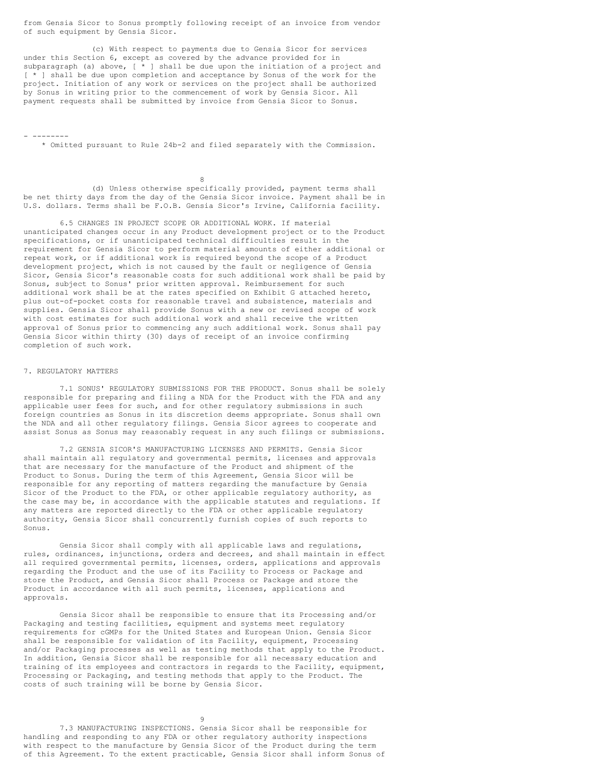from Gensia Sicor to Sonus promptly following receipt of an invoice from vendor of such equipment by Gensia Sicor.

(c) With respect to payments due to Gensia Sicor for services under this Section 6, except as covered by the advance provided for in subparagraph (a) above,  $[ * ]$  shall be due upon the initiation of a project and [ \* ] shall be due upon completion and acceptance by Sonus of the work for the project. Initiation of any work or services on the project shall be authorized by Sonus in writing prior to the commencement of work by Gensia Sicor. All payment requests shall be submitted by invoice from Gensia Sicor to Sonus.

\* Omitted pursuant to Rule 24b-2 and filed separately with the Commission.

8

(d) Unless otherwise specifically provided, payment terms shall be net thirty days from the day of the Gensia Sicor invoice. Payment shall be in U.S. dollars. Terms shall be F.O.B. Gensia Sicor's Irvine, California facility.

6.5 CHANGES IN PROJECT SCOPE OR ADDITIONAL WORK. If material unanticipated changes occur in any Product development project or to the Product specifications, or if unanticipated technical difficulties result in the requirement for Gensia Sicor to perform material amounts of either additional or repeat work, or if additional work is required beyond the scope of a Product development project, which is not caused by the fault or negligence of Gensia Sicor, Gensia Sicor's reasonable costs for such additional work shall be paid by Sonus, subject to Sonus' prior written approval. Reimbursement for such additional work shall be at the rates specified on Exhibit G attached hereto, plus out-of-pocket costs for reasonable travel and subsistence, materials and supplies. Gensia Sicor shall provide Sonus with a new or revised scope of work with cost estimates for such additional work and shall receive the written approval of Sonus prior to commencing any such additional work. Sonus shall pay Gensia Sicor within thirty (30) days of receipt of an invoice confirming completion of such work.

### 7. REGULATORY MATTERS

- --------

7.1 SONUS' REGULATORY SUBMISSIONS FOR THE PRODUCT. Sonus shall be solely responsible for preparing and filing a NDA for the Product with the FDA and any applicable user fees for such, and for other regulatory submissions in such foreign countries as Sonus in its discretion deems appropriate. Sonus shall own the NDA and all other regulatory filings. Gensia Sicor agrees to cooperate and assist Sonus as Sonus may reasonably request in any such filings or submissions.

7.2 GENSIA SICOR'S MANUFACTURING LICENSES AND PERMITS. Gensia Sicor shall maintain all regulatory and governmental permits, licenses and approvals that are necessary for the manufacture of the Product and shipment of the Product to Sonus. During the term of this Agreement, Gensia Sicor will be responsible for any reporting of matters regarding the manufacture by Gensia Sicor of the Product to the FDA, or other applicable regulatory authority, as the case may be, in accordance with the applicable statutes and regulations. If any matters are reported directly to the FDA or other applicable regulatory authority, Gensia Sicor shall concurrently furnish copies of such reports to Sonus.

Gensia Sicor shall comply with all applicable laws and regulations, rules, ordinances, injunctions, orders and decrees, and shall maintain in effect all required governmental permits, licenses, orders, applications and approvals regarding the Product and the use of its Facility to Process or Package and store the Product, and Gensia Sicor shall Process or Package and store the Product in accordance with all such permits, licenses, applications and approvals.

Gensia Sicor shall be responsible to ensure that its Processing and/or Packaging and testing facilities, equipment and systems meet regulatory requirements for cGMPs for the United States and European Union. Gensia Sicor shall be responsible for validation of its Facility, equipment, Processing and/or Packaging processes as well as testing methods that apply to the Product. In addition, Gensia Sicor shall be responsible for all necessary education and training of its employees and contractors in regards to the Facility, equipment, Processing or Packaging, and testing methods that apply to the Product. The costs of such training will be borne by Gensia Sicor.

 $Q$ 

7.3 MANUFACTURING INSPECTIONS. Gensia Sicor shall be responsible for handling and responding to any FDA or other regulatory authority inspections with respect to the manufacture by Gensia Sicor of the Product during the term of this Agreement. To the extent practicable, Gensia Sicor shall inform Sonus of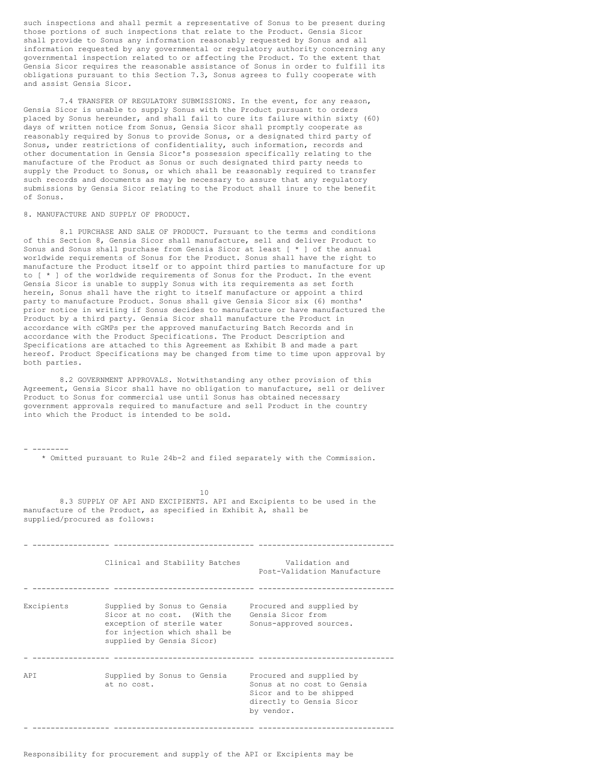such inspections and shall permit a representative of Sonus to be present during those portions of such inspections that relate to the Product. Gensia Sicor shall provide to Sonus any information reasonably requested by Sonus and all information requested by any governmental or regulatory authority concerning any governmental inspection related to or affecting the Product. To the extent that Gensia Sicor requires the reasonable assistance of Sonus in order to fulfill its obligations pursuant to this Section 7.3, Sonus agrees to fully cooperate with and assist Gensia Sicor.

7.4 TRANSFER OF REGULATORY SUBMISSIONS. In the event, for any reason, Gensia Sicor is unable to supply Sonus with the Product pursuant to orders placed by Sonus hereunder, and shall fail to cure its failure within sixty (60) days of written notice from Sonus, Gensia Sicor shall promptly cooperate as reasonably required by Sonus to provide Sonus, or a designated third party of Sonus, under restrictions of confidentiality, such information, records and other documentation in Gensia Sicor's possession specifically relating to the manufacture of the Product as Sonus or such designated third party needs to supply the Product to Sonus, or which shall be reasonably required to transfer such records and documents as may be necessary to assure that any regulatory submissions by Gensia Sicor relating to the Product shall inure to the benefit of Sonus.

#### 8. MANUFACTURE AND SUPPLY OF PRODUCT.

8.1 PURCHASE AND SALE OF PRODUCT. Pursuant to the terms and conditions of this Section 8, Gensia Sicor shall manufacture, sell and deliver Product to Sonus and Sonus shall purchase from Gensia Sicor at least [ \* ] of the annual worldwide requirements of Sonus for the Product. Sonus shall have the right to manufacture the Product itself or to appoint third parties to manufacture for up to [ \* ] of the worldwide requirements of Sonus for the Product. In the event Gensia Sicor is unable to supply Sonus with its requirements as set forth herein, Sonus shall have the right to itself manufacture or appoint a third party to manufacture Product. Sonus shall give Gensia Sicor six (6) months' prior notice in writing if Sonus decides to manufacture or have manufactured the Product by a third party. Gensia Sicor shall manufacture the Product in accordance with cGMPs per the approved manufacturing Batch Records and in accordance with the Product Specifications. The Product Description and Specifications are attached to this Agreement as Exhibit B and made a part hereof. Product Specifications may be changed from time to time upon approval by both parties.

8.2 GOVERNMENT APPROVALS. Notwithstanding any other provision of this Agreement, Gensia Sicor shall have no obligation to manufacture, sell or deliver Product to Sonus for commercial use until Sonus has obtained necessary government approvals required to manufacture and sell Product in the country into which the Product is intended to be sold.

- -------- \* Omitted pursuant to Rule 24b-2 and filed separately with the Commission.

10 8.3 SUPPLY OF API AND EXCIPIENTS. API and Excipients to be used in the manufacture of the Product, as specified in Exhibit A, shall be supplied/procured as follows:

|            | Clinical and Stability Batches                                                                                                                                                | Validation and<br>Post-Validation Manufacture                                                                               |
|------------|-------------------------------------------------------------------------------------------------------------------------------------------------------------------------------|-----------------------------------------------------------------------------------------------------------------------------|
| Excipients | Supplied by Sonus to Gensia<br>Sicor at no cost. (With the<br>exception of sterile water Sonus-approved sources.<br>for injection which shall be<br>supplied by Gensia Sicor) | Procured and supplied by<br>Gensia Sicor from                                                                               |
| APT        | Supplied by Sonus to Gensia<br>at no cost.                                                                                                                                    | Procured and supplied by<br>Sonus at no cost to Gensia<br>Sicor and to be shipped<br>directly to Gensia Sicor<br>by vendor. |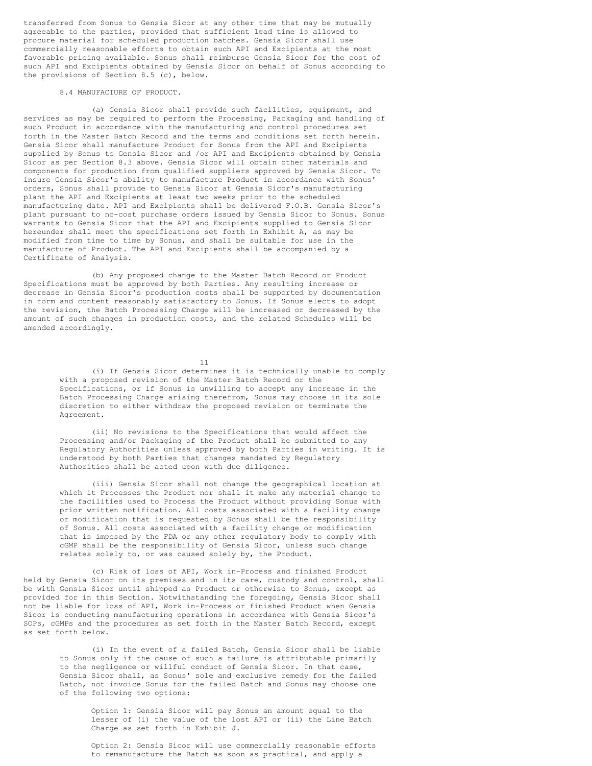transferred from Sonus to Gensia Sicor at any other time that may be mutually agreeable to the parties, provided that sufficient lead time is allowed to procure material for scheduled production batches. Gensia Sicor shall use commercially reasonable efforts to obtain such API and Excipients at the most favorable pricing available. Sonus shall reimburse Gensia Sicor for the cost of such API and Excipients obtained by Gensia Sicor on behalf of Sonus according to the provisions of Section 8.5 (c), below.

#### 8.4 MANUFACTURE OF PRODUCT.

(a) Gensia Sicor shall provide such facilities, equipment, and services as may be required to perform the Processing, Packaging and handling of such Product in accordance with the manufacturing and control procedures set forth in the Master Batch Record and the terms and conditions set forth herein. Gensia Sicor shall manufacture Product for Sonus from the API and Excipients supplied by Sonus to Gensia Sicor and /or API and Excipients obtained by Gensia Sicor as per Section 8.3 above. Gensia Sicor will obtain other materials and components for production from qualified suppliers approved by Gensia Sicor. To insure Gensia Sicor's ability to manufacture Product in accordance with Sonus' orders, Sonus shall provide to Gensia Sicor at Gensia Sicor's manufacturing plant the API and Excipients at least two weeks prior to the scheduled manufacturing date. API and Excipients shall be delivered F.O.B. Gensia Sicor's plant pursuant to no-cost purchase orders issued by Gensia Sicor to Sonus. Sonus warrants to Gensia Sicor that the API and Excipients supplied to Gensia Sicor hereunder shall meet the specifications set forth in Exhibit A, as may be modified from time to time by Sonus, and shall be suitable for use in the manufacture of Product. The API and Excipients shall be accompanied by a Certificate of Analysis.

(b) Any proposed change to the Master Batch Record or Product Specifications must be approved by both Parties. Any resulting increase or decrease in Gensia Sicor's production costs shall be supported by documentation in form and content reasonably satisfactory to Sonus. If Sonus elects to adopt the revision, the Batch Processing Charge will be increased or decreased by the amount of such changes in production costs, and the related Schedules will be amended accordingly.

11

(i) If Gensia Sicor determines it is technically unable to comply with a proposed revision of the Master Batch Record or the Specifications, or if Sonus is unwilling to accept any increase in the Batch Processing Charge arising therefrom, Sonus may choose in its sole discretion to either withdraw the proposed revision or terminate the Agreement.

(ii) No revisions to the Specifications that would affect the Processing and/or Packaging of the Product shall be submitted to any Regulatory Authorities unless approved by both Parties in writing. It is understood by both Parties that changes mandated by Regulatory Authorities shall be acted upon with due diligence.

(iii) Gensia Sicor shall not change the geographical location at which it Processes the Product nor shall it make any material change to the facilities used to Process the Product without providing Sonus with prior written notification. All costs associated with a facility change or modification that is requested by Sonus shall be the responsibility of Sonus. All costs associated with a facility change or modification that is imposed by the FDA or any other regulatory body to comply with cGMP shall be the responsibility of Gensia Sicor, unless such change relates solely to, or was caused solely by, the Product.

(c) Risk of loss of API, Work in-Process and finished Product held by Gensia Sicor on its premises and in its care, custody and control, shall be with Gensia Sicor until shipped as Product or otherwise to Sonus, except as provided for in this Section. Notwithstanding the foregoing, Gensia Sicor shall not be liable for loss of API, Work in-Process or finished Product when Gensia Sicor is conducting manufacturing operations in accordance with Gensia Sicor's SOPs, cGMPs and the procedures as set forth in the Master Batch Record, except as set forth below.

(i) In the event of a failed Batch, Gensia Sicor shall be liable to Sonus only if the cause of such a failure is attributable primarily to the negligence or willful conduct of Gensia Sicor. In that case, Gensia Sicor shall, as Sonus' sole and exclusive remedy for the failed Batch, not invoice Sonus for the failed Batch and Sonus may choose one of the following two options:

Option 1: Gensia Sicor will pay Sonus an amount equal to the lesser of (i) the value of the lost API or (ii) the Line Batch Charge as set forth in Exhibit J.

Option 2: Gensia Sicor will use commercially reasonable efforts to remanufacture the Batch as soon as practical, and apply a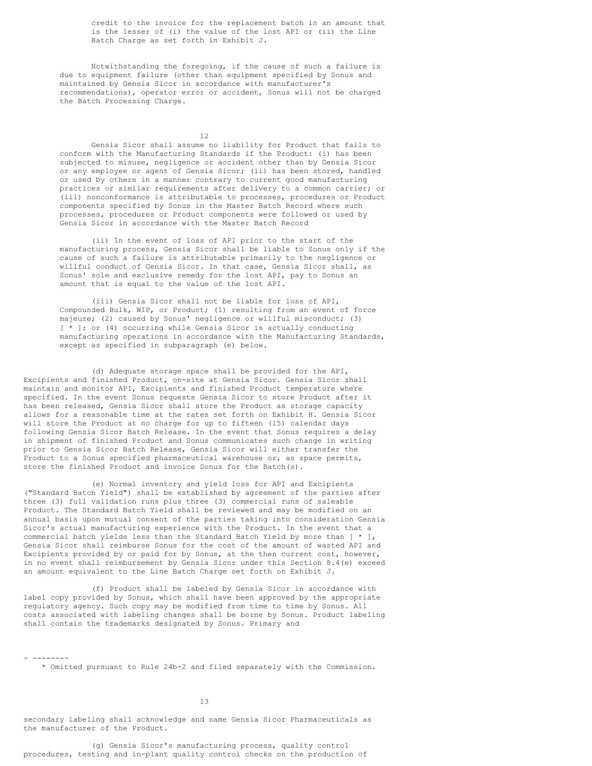credit to the invoice for the replacement batch in an amount that is the lesser of (i) the value of the lost API or (ii) the Line Batch Charge as set forth in Exhibit J.

Notwithstanding the foregoing, if the cause of such a failure is due to equipment failure (other than equipment specified by Sonus and maintained by Gensia Sicor in accordance with manufacturer's recommendations), operator error or accident, Sonus will not be charged the Batch Processing Charge.

12

Gensia Sicor shall assume no liability for Product that fails to conform with the Manufacturing Standards if the Product: (i) has been subjected to misuse, negligence or accident other than by Gensia Sicor or any employee or agent of Gensia Sicor; (ii) has been stored, handled or used by others in a manner contrary to current good manufacturing practices or similar requirements after delivery to a common carrier; or (iii) nonconformance is attributable to processes, procedures or Product components specified by Sonus in the Master Batch Record where such processes, procedures or Product components were followed or used by Gensia Sicor in accordance with the Master Batch Record

(ii) In the event of loss of API prior to the start of the manufacturing process, Gensia Sicor shall be liable to Sonus only if the cause of such a failure is attributable primarily to the negligence or willful conduct of Gensia Sicor. In that case, Gensia Sicor shall, as Sonus' sole and exclusive remedy for the lost API, pay to Sonus an amount that is equal to the value of the lost API.

(iii) Gensia Sicor shall not be liable for loss of API, Compounded Bulk, WIP, or Product; (1) resulting from an event of force majeure; (2) caused by Sonus' negligence or willful misconduct; (3) [ \* ]; or (4) occurring while Gensia Sicor is actually conducting manufacturing operations in accordance with the Manufacturing Standards, except as specified in subparagraph (e) below.

(d) Adequate storage space shall be provided for the API, Excipients and finished Product, on-site at Gensia Sicor. Gensia Sicor shall maintain and monitor API, Excipients and finished Product temperature where specified. In the event Sonus requests Gensia Sicor to store Product after it has been released, Gensia Sicor shall store the Product as storage capacity allows for a reasonable time at the rates set forth on Exhibit H. Gensia Sicor will store the Product at no charge for up to fifteen (15) calendar days following Gensia Sicor Batch Release. In the event that Sonus requires a delay in shipment of finished Product and Sonus communicates such change in writing prior to Gensia Sicor Batch Release, Gensia Sicor will either transfer the Product to a Sonus specified pharmaceutical warehouse or, as space permits, store the finished Product and invoice Sonus for the Batch(s).

(e) Normal inventory and yield loss for API and Excipients ("Standard Batch Yield") shall be established by agreement of the parties after three (3) full validation runs plus three (3) commercial runs of saleable Product. The Standard Batch Yield shall be reviewed and may be modified on an annual basis upon mutual consent of the parties taking into consideration Gensia Sicor's actual manufacturing experience with the Product. In the event that a commercial batch yields less than the Standard Batch Yield by more than [ \* ], Gensia Sicor shall reimburse Sonus for the cost of the amount of wasted API and Excipients provided by or paid for by Sonus, at the then current cost, however, in no event shall reimbursement by Gensia Sicor under this Section 8.4(e) exceed an amount equivalent to the Line Batch Charge set forth on Exhibit J.

(f) Product shall be labeled by Gensia Sicor in accordance with label copy provided by Sonus, which shall have been approved by the appropriate regulatory agency. Such copy may be modified from time to time by Sonus. All costs associated with labeling changes shall be borne by Sonus. Product labeling shall contain the trademarks designated by Sonus. Primary and

- --------

\* Omitted pursuant to Rule 24b-2 and filed separately with the Commission.

13

secondary labeling shall acknowledge and name Gensia Sicor Pharmaceuticals as the manufacturer of the Product.

(g) Gensia Sicor's manufacturing process, quality control procedures, testing and in-plant quality control checks on the production of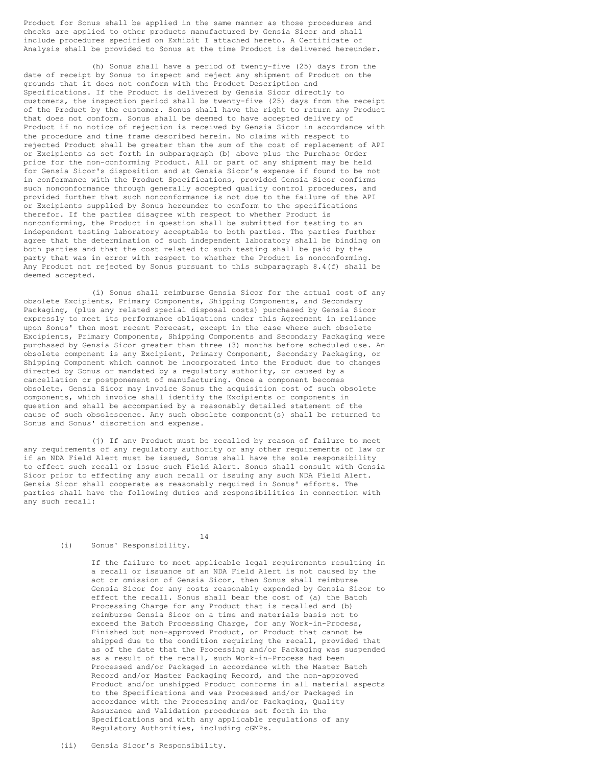Product for Sonus shall be applied in the same manner as those procedures and checks are applied to other products manufactured by Gensia Sicor and shall include procedures specified on Exhibit I attached hereto. A Certificate of Analysis shall be provided to Sonus at the time Product is delivered hereunder.

(h) Sonus shall have a period of twenty-five (25) days from the date of receipt by Sonus to inspect and reject any shipment of Product on the grounds that it does not conform with the Product Description and Specifications. If the Product is delivered by Gensia Sicor directly to customers, the inspection period shall be twenty-five (25) days from the receipt of the Product by the customer. Sonus shall have the right to return any Product that does not conform. Sonus shall be deemed to have accepted delivery of Product if no notice of rejection is received by Gensia Sicor in accordance with the procedure and time frame described herein. No claims with respect to rejected Product shall be greater than the sum of the cost of replacement of API or Excipients as set forth in subparagraph (b) above plus the Purchase Order price for the non-conforming Product. All or part of any shipment may be held for Gensia Sicor's disposition and at Gensia Sicor's expense if found to be not in conformance with the Product Specifications, provided Gensia Sicor confirms such nonconformance through generally accepted quality control procedures, and provided further that such nonconformance is not due to the failure of the API or Excipients supplied by Sonus hereunder to conform to the specifications therefor. If the parties disagree with respect to whether Product is nonconforming, the Product in question shall be submitted for testing to an independent testing laboratory acceptable to both parties. The parties further agree that the determination of such independent laboratory shall be binding on both parties and that the cost related to such testing shall be paid by the party that was in error with respect to whether the Product is nonconforming. Any Product not rejected by Sonus pursuant to this subparagraph 8.4(f) shall be deemed accepted.

(i) Sonus shall reimburse Gensia Sicor for the actual cost of any obsolete Excipients, Primary Components, Shipping Components, and Secondary Packaging, (plus any related special disposal costs) purchased by Gensia Sicor expressly to meet its performance obligations under this Agreement in reliance upon Sonus' then most recent Forecast, except in the case where such obsolete Excipients, Primary Components, Shipping Components and Secondary Packaging were purchased by Gensia Sicor greater than three (3) months before scheduled use. An obsolete component is any Excipient, Primary Component, Secondary Packaging, or Shipping Component which cannot be incorporated into the Product due to changes directed by Sonus or mandated by a regulatory authority, or caused by a cancellation or postponement of manufacturing. Once a component becomes obsolete, Gensia Sicor may invoice Sonus the acquisition cost of such obsolete components, which invoice shall identify the Excipients or components in question and shall be accompanied by a reasonably detailed statement of the cause of such obsolescence. Any such obsolete component(s) shall be returned to Sonus and Sonus' discretion and expense.

(j) If any Product must be recalled by reason of failure to meet any requirements of any regulatory authority or any other requirements of law or if an NDA Field Alert must be issued, Sonus shall have the sole responsibility to effect such recall or issue such Field Alert. Sonus shall consult with Gensia Sicor prior to effecting any such recall or issuing any such NDA Field Alert. Gensia Sicor shall cooperate as reasonably required in Sonus' efforts. The parties shall have the following duties and responsibilities in connection with any such recall:

14

```
(i) Sonus' Responsibility.
```
If the failure to meet applicable legal requirements resulting in a recall or issuance of an NDA Field Alert is not caused by the act or omission of Gensia Sicor, then Sonus shall reimburse Gensia Sicor for any costs reasonably expended by Gensia Sicor to effect the recall. Sonus shall bear the cost of (a) the Batch Processing Charge for any Product that is recalled and (b) reimburse Gensia Sicor on a time and materials basis not to exceed the Batch Processing Charge, for any Work-in-Process, Finished but non-approved Product, or Product that cannot be shipped due to the condition requiring the recall, provided that as of the date that the Processing and/or Packaging was suspended as a result of the recall, such Work-in-Process had been Processed and/or Packaged in accordance with the Master Batch Record and/or Master Packaging Record, and the non-approved Product and/or unshipped Product conforms in all material aspects to the Specifications and was Processed and/or Packaged in accordance with the Processing and/or Packaging, Quality Assurance and Validation procedures set forth in the Specifications and with any applicable regulations of any Regulatory Authorities, including cGMPs.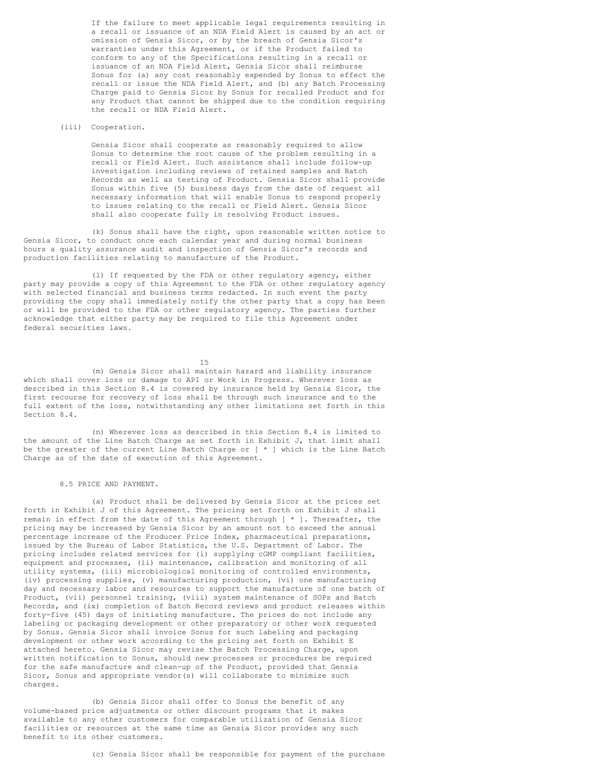<span id="page-24-0"></span>If the failure to meet applicable legal requirements resulting in a recall or issuance of an NDA Field Alert is caused by an act or omission of Gensia Sicor, or by the breach of Gensia Sicor's warranties under this Agreement, or if the Product failed to conform to any of the Specifications resulting in a recall or issuance of an NDA Field Alert, Gensia Sicor shall reimburse Sonus for (a) any cost reasonably expended by Sonus to effect the recall or issue the NDA Field Alert, and (b) any Batch Processing Charge paid to Gensia Sicor by Sonus for recalled Product and for any Product that cannot be shipped due to the condition requiring the recall or NDA Field Alert.

### (iii) Cooperation.

Gensia Sicor shall cooperate as reasonably required to allow Sonus to determine the root cause of the problem resulting in a recall or Field Alert. Such assistance shall include follow-up investigation including reviews of retained samples and Batch Records as well as testing of Product. Gensia Sicor shall provide Sonus within five (5) business days from the date of request all necessary information that will enable Sonus to respond properly to issues relating to the recall or Field Alert. Gensia Sicor shall also cooperate fully in resolving Product issues.

(k) Sonus shall have the right, upon reasonable written notice to Gensia Sicor, to conduct once each calendar year and during normal business hours a quality assurance audit and inspection of Gensia Sicor's records and production facilities relating to manufacture of the Product.

(l) If requested by the FDA or other regulatory agency, either party may provide a copy of this Agreement to the FDA or other regulatory agency with selected financial and business terms redacted. In such event the party providing the copy shall immediately notify the other party that a copy has been or will be provided to the FDA or other regulatory agency. The parties further acknowledge that either party may be required to file this Agreement under federal securities laws.

15

(m) Gensia Sicor shall maintain hazard and liability insurance which shall cover loss or damage to API or Work in Progress. Wherever loss as described in this Section 8.4 is covered by insurance held by Gensia Sicor, the first recourse for recovery of loss shall be through such insurance and to the full extent of the loss, notwithstanding any other limitations set forth in this Section 8.4.

(n) Wherever loss as described in this Section 8.4 is limited to the amount of the Line Batch Charge as set forth in Exhibit J, that limit shall be the greater of the current Line Batch Charge or [ \* ] which is the Line Batch Charge as of the date of execution of this Agreement.

#### 8.5 PRICE AND PAYMENT.

(a) Product shall be delivered by Gensia Sicor at the prices set forth in Exhibit J of this Agreement. The pricing set forth on Exhibit J shall remain in effect from the date of this Agreement through [ \* ]. Thereafter, the pricing may be increased by Gensia Sicor by an amount not to exceed the annual percentage increase of the Producer Price Index, pharmaceutical preparations, issued by the Bureau of Labor Statistics, the U.S. Department of Labor. The pricing includes related services for (i) supplying cGMP compliant facilities, equipment and processes, (ii) maintenance, calibration and monitoring of all utility systems, (iii) microbiological monitoring of controlled environments, (iv) processing supplies, (v) manufacturing production, (vi) one manufacturing day and necessary labor and resources to support the manufacture of one batch of Product, (vii) personnel training, (viii) system maintenance of SOPs and Batch Records, and (ix) completion of Batch Record reviews and product releases within forty-five (45) days of initiating manufacture. The prices do not include any labeling or packaging development or other preparatory or other work requested by Sonus. Gensia Sicor shall invoice Sonus for such labeling and packaging development or other work according to the pricing set forth on Exhibit E attached hereto. Gensia Sicor may revise the Batch Processing Charge, upon written notification to Sonus, should new processes or procedures be required for the safe manufacture and clean-up of the Product, provided that Gensia Sicor, Sonus and appropriate vendor(s) will collaborate to minimize such charges.

(b) Gensia Sicor shall offer to Sonus the benefit of any volume-based price adjustments or other discount programs that it makes available to any other customers for comparable utilization of Gensia Sicor facilities or resources at the same time as Gensia Sicor provides any such benefit to its other customers.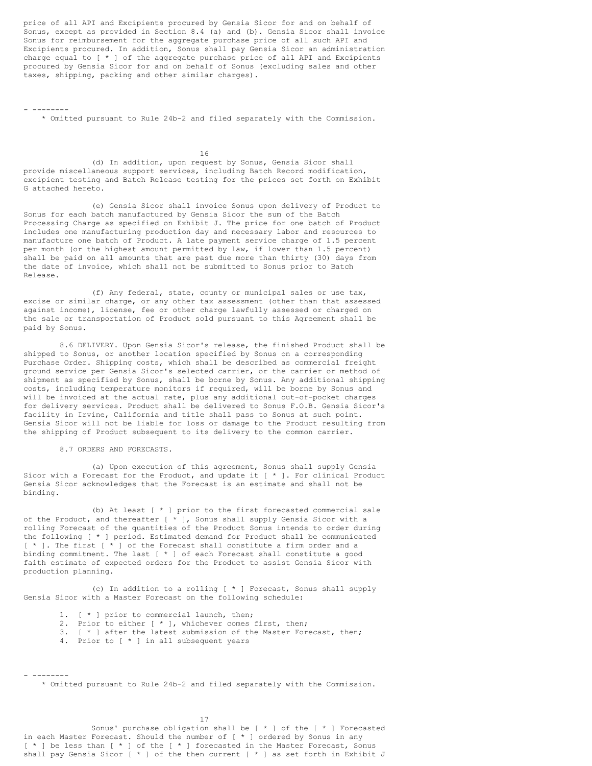price of all API and Excipients procured by Gensia Sicor for and on behalf of Sonus, except as provided in Section 8.4 (a) and (b). Gensia Sicor shall invoice Sonus for reimbursement for the aggregate purchase price of all such API and Excipients procured. In addition, Sonus shall pay Gensia Sicor an administration charge equal to [ \* ] of the aggregate purchase price of all API and Excipients procured by Gensia Sicor for and on behalf of Sonus (excluding sales and other taxes, shipping, packing and other similar charges).

- --------

\* Omitted pursuant to Rule 24b-2 and filed separately with the Commission.

16 (d) In addition, upon request by Sonus, Gensia Sicor shall provide miscellaneous support services, including Batch Record modification, excipient testing and Batch Release testing for the prices set forth on Exhibit G attached hereto.

(e) Gensia Sicor shall invoice Sonus upon delivery of Product to Sonus for each batch manufactured by Gensia Sicor the sum of the Batch Processing Charge as specified on Exhibit J. The price for one batch of Product includes one manufacturing production day and necessary labor and resources to manufacture one batch of Product. A late payment service charge of 1.5 percent per month (or the highest amount permitted by law, if lower than 1.5 percent) shall be paid on all amounts that are past due more than thirty (30) days from the date of invoice, which shall not be submitted to Sonus prior to Batch Release.

(f) Any federal, state, county or municipal sales or use tax, excise or similar charge, or any other tax assessment (other than that assessed against income), license, fee or other charge lawfully assessed or charged on the sale or transportation of Product sold pursuant to this Agreement shall be paid by Sonus.

8.6 DELIVERY. Upon Gensia Sicor's release, the finished Product shall be shipped to Sonus, or another location specified by Sonus on a corresponding Purchase Order. Shipping costs, which shall be described as commercial freight ground service per Gensia Sicor's selected carrier, or the carrier or method of shipment as specified by Sonus, shall be borne by Sonus. Any additional shipping costs, including temperature monitors if required, will be borne by Sonus and will be invoiced at the actual rate, plus any additional out-of-pocket charges for delivery services. Product shall be delivered to Sonus F.O.B. Gensia Sicor's facility in Irvine, California and title shall pass to Sonus at such point. Gensia Sicor will not be liable for loss or damage to the Product resulting from the shipping of Product subsequent to its delivery to the common carrier.

8.7 ORDERS AND FORECASTS.

(a) Upon execution of this agreement, Sonus shall supply Gensia Sicor with a Forecast for the Product, and update it [ \* ]. For clinical Product Gensia Sicor acknowledges that the Forecast is an estimate and shall not be binding.

(b) At least [ \* ] prior to the first forecasted commercial sale of the Product, and thereafter [ \* ], Sonus shall supply Gensia Sicor with a rolling Forecast of the quantities of the Product Sonus intends to order during the following [ \* ] period. Estimated demand for Product shall be communicated [ \* ]. The first [ \* ] of the Forecast shall constitute a firm order and a binding commitment. The last [ \* ] of each Forecast shall constitute a good faith estimate of expected orders for the Product to assist Gensia Sicor with production planning.

(c) In addition to a rolling [ \* ] Forecast, Sonus shall supply Gensia Sicor with a Master Forecast on the following schedule:

- 1. [ \* ] prior to commercial launch, then;
- 2. Prior to either [ \* ], whichever comes first, then;
- 3. [ \* ] after the latest submission of the Master Forecast, then;
- 4. Prior to [ \* ] in all subsequent years

- -------- \* Omitted pursuant to Rule 24b-2 and filed separately with the Commission.

17

Sonus' purchase obligation shall be  $[ * ]$  of the  $[ * ]$  Forecasted in each Master Forecast. Should the number of [ \* ] ordered by Sonus in any [ \* ] be less than [ \* ] of the [ \* ] forecasted in the Master Forecast, Sonus shall pay Gensia Sicor [ \* ] of the then current [ \* ] as set forth in Exhibit J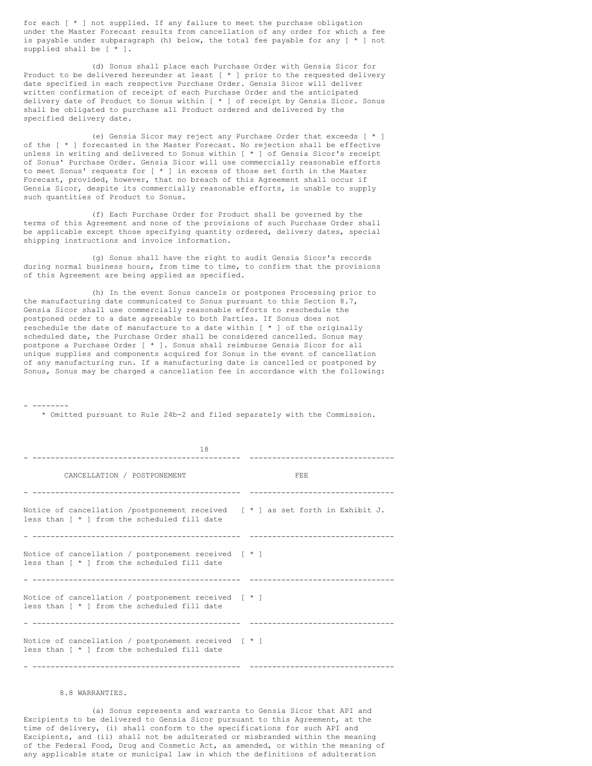for each [ \* ] not supplied. If any failure to meet the purchase obligation under the Master Forecast results from cancellation of any order for which a fee is payable under subparagraph (h) below, the total fee payable for any [ \* ] not supplied shall be [ \* ].

(d) Sonus shall place each Purchase Order with Gensia Sicor for Product to be delivered hereunder at least  $[ * ]$  prior to the requested delivery date specified in each respective Purchase Order. Gensia Sicor will deliver written confirmation of receipt of each Purchase Order and the anticipated delivery date of Product to Sonus within [ \* ] of receipt by Gensia Sicor. Sonus shall be obligated to purchase all Product ordered and delivered by the specified delivery date.

(e) Gensia Sicor may reject any Purchase Order that exceeds [ \* ] of the [ \* ] forecasted in the Master Forecast. No rejection shall be effective unless in writing and delivered to Sonus within [ \* ] of Gensia Sicor's receipt of Sonus' Purchase Order. Gensia Sicor will use commercially reasonable efforts to meet Sonus' requests for [ \* ] in excess of those set forth in the Master Forecast, provided, however, that no breach of this Agreement shall occur if Gensia Sicor, despite its commercially reasonable efforts, is unable to supply such quantities of Product to Sonus.

(f) Each Purchase Order for Product shall be governed by the terms of this Agreement and none of the provisions of such Purchase Order shall be applicable except those specifying quantity ordered, delivery dates, special shipping instructions and invoice information.

(g) Sonus shall have the right to audit Gensia Sicor's records during normal business hours, from time to time, to confirm that the provisions of this Agreement are being applied as specified.

(h) In the event Sonus cancels or postpones Processing prior to the manufacturing date communicated to Sonus pursuant to this Section 8.7, Gensia Sicor shall use commercially reasonable efforts to reschedule the postponed order to a date agreeable to both Parties. If Sonus does not reschedule the date of manufacture to a date within [ \* ] of the originally scheduled date, the Purchase Order shall be considered cancelled. Sonus may postpone a Purchase Order [ \* ]. Sonus shall reimburse Gensia Sicor for all unique supplies and components acquired for Sonus in the event of cancellation of any manufacturing run. If a manufacturing date is cancelled or postponed by Sonus, Sonus may be charged a cancellation fee in accordance with the following:

- --------

\* Omitted pursuant to Rule 24b-2 and filed separately with the Commission.

| 18                                                                                                                                |            |
|-----------------------------------------------------------------------------------------------------------------------------------|------------|
| CANCELLATION / POSTPONEMENT                                                                                                       | <b>FEE</b> |
| Notice of cancellation /postponement received $[* ]$ as set forth in Exhibit J.<br>less than $[ * ]$ from the scheduled fill date |            |
| Notice of cancellation / postponement received $[ * ]$<br>less than [ * ] from the scheduled fill date                            |            |
| Notice of cancellation / postponement received [ * ]<br>less than [ * ] from the scheduled fill date                              |            |
| Notice of cancellation / postponement received [ * ]<br>less than [ * ] from the scheduled fill date                              |            |

#### 8.8 WARRANTIES.

(a) Sonus represents and warrants to Gensia Sicor that API and Excipients to be delivered to Gensia Sicor pursuant to this Agreement, at the time of delivery, (i) shall conform to the specifications for such API and Excipients, and (ii) shall not be adulterated or misbranded within the meaning of the Federal Food, Drug and Cosmetic Act, as amended, or within the meaning of any applicable state or municipal law in which the definitions of adulteration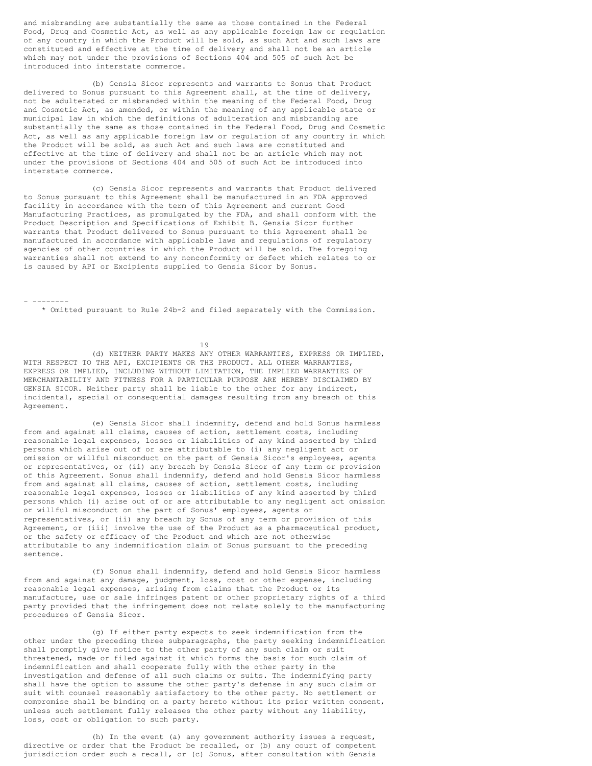and misbranding are substantially the same as those contained in the Federal Food, Drug and Cosmetic Act, as well as any applicable foreign law or regulation of any country in which the Product will be sold, as such Act and such laws are constituted and effective at the time of delivery and shall not be an article which may not under the provisions of Sections 404 and 505 of such Act be introduced into interstate commerce.

(b) Gensia Sicor represents and warrants to Sonus that Product delivered to Sonus pursuant to this Agreement shall, at the time of delivery, not be adulterated or misbranded within the meaning of the Federal Food, Drug and Cosmetic Act, as amended, or within the meaning of any applicable state or municipal law in which the definitions of adulteration and misbranding are substantially the same as those contained in the Federal Food, Drug and Cosmetic Act, as well as any applicable foreign law or regulation of any country in which the Product will be sold, as such Act and such laws are constituted and effective at the time of delivery and shall not be an article which may not under the provisions of Sections 404 and 505 of such Act be introduced into interstate commerce.

(c) Gensia Sicor represents and warrants that Product delivered to Sonus pursuant to this Agreement shall be manufactured in an FDA approved facility in accordance with the term of this Agreement and current Good Manufacturing Practices, as promulgated by the FDA, and shall conform with the Product Description and Specifications of Exhibit B. Gensia Sicor further warrants that Product delivered to Sonus pursuant to this Agreement shall be manufactured in accordance with applicable laws and regulations of regulatory agencies of other countries in which the Product will be sold. The foregoing warranties shall not extend to any nonconformity or defect which relates to or is caused by API or Excipients supplied to Gensia Sicor by Sonus.

- --------

\* Omitted pursuant to Rule 24b-2 and filed separately with the Commission.

19

(d) NEITHER PARTY MAKES ANY OTHER WARRANTIES, EXPRESS OR IMPLIED, WITH RESPECT TO THE API, EXCIPIENTS OR THE PRODUCT. ALL OTHER WARRANTIES, EXPRESS OR IMPLIED, INCLUDING WITHOUT LIMITATION, THE IMPLIED WARRANTIES OF MERCHANTABILITY AND FITNESS FOR A PARTICULAR PURPOSE ARE HEREBY DISCLAIMED BY GENSIA SICOR. Neither party shall be liable to the other for any indirect, incidental, special or consequential damages resulting from any breach of this Agreement.

(e) Gensia Sicor shall indemnify, defend and hold Sonus harmless from and against all claims, causes of action, settlement costs, including reasonable legal expenses, losses or liabilities of any kind asserted by third persons which arise out of or are attributable to (i) any negligent act or omission or willful misconduct on the part of Gensia Sicor's employees, agents or representatives, or (ii) any breach by Gensia Sicor of any term or provision of this Agreement. Sonus shall indemnify, defend and hold Gensia Sicor harmless from and against all claims, causes of action, settlement costs, including reasonable legal expenses, losses or liabilities of any kind asserted by third persons which (i) arise out of or are attributable to any negligent act omission or willful misconduct on the part of Sonus' employees, agents or representatives, or (ii) any breach by Sonus of any term or provision of this Agreement, or (iii) involve the use of the Product as a pharmaceutical product, or the safety or efficacy of the Product and which are not otherwise attributable to any indemnification claim of Sonus pursuant to the preceding sentence.

(f) Sonus shall indemnify, defend and hold Gensia Sicor harmless from and against any damage, judgment, loss, cost or other expense, including reasonable legal expenses, arising from claims that the Product or its manufacture, use or sale infringes patent or other proprietary rights of a third party provided that the infringement does not relate solely to the manufacturing procedures of Gensia Sicor.

(g) If either party expects to seek indemnification from the other under the preceding three subparagraphs, the party seeking indemnification shall promptly give notice to the other party of any such claim or suit threatened, made or filed against it which forms the basis for such claim of indemnification and shall cooperate fully with the other party in the investigation and defense of all such claims or suits. The indemnifying party shall have the option to assume the other party's defense in any such claim or suit with counsel reasonably satisfactory to the other party. No settlement or compromise shall be binding on a party hereto without its prior written consent, unless such settlement fully releases the other party without any liability, loss, cost or obligation to such party.

(h) In the event (a) any government authority issues a request, directive or order that the Product be recalled, or (b) any court of competent jurisdiction order such a recall, or (c) Sonus, after consultation with Gensia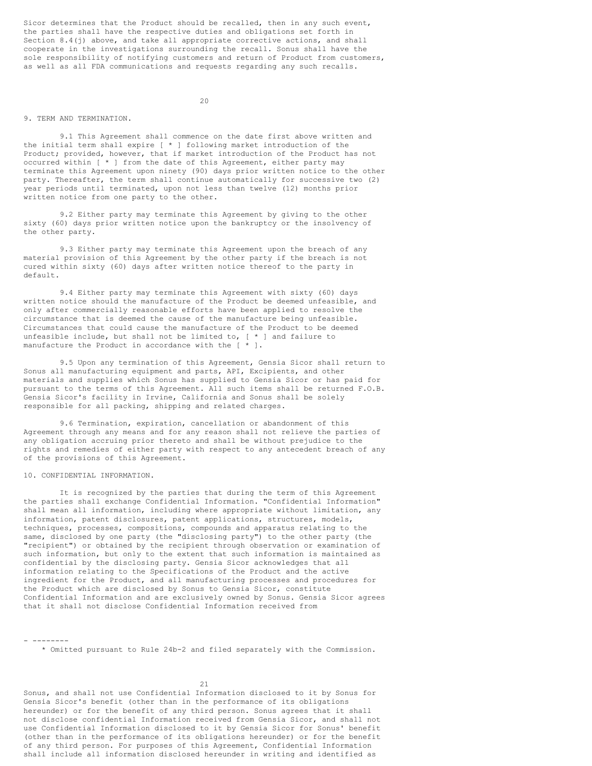Sicor determines that the Product should be recalled, then in any such event, the parties shall have the respective duties and obligations set forth in Section 8.4(j) above, and take all appropriate corrective actions, and shall cooperate in the investigations surrounding the recall. Sonus shall have the sole responsibility of notifying customers and return of Product from customers, as well as all FDA communications and requests regarding any such recalls.

#### $20$

#### 9. TERM AND TERMINATION.

9.1 This Agreement shall commence on the date first above written and the initial term shall expire [ \* ] following market introduction of the Product; provided, however, that if market introduction of the Product has not occurred within [ \* ] from the date of this Agreement, either party may terminate this Agreement upon ninety (90) days prior written notice to the other party. Thereafter, the term shall continue automatically for successive two (2) year periods until terminated, upon not less than twelve (12) months prior written notice from one party to the other.

9.2 Either party may terminate this Agreement by giving to the other sixty (60) days prior written notice upon the bankruptcy or the insolvency of the other party.

9.3 Either party may terminate this Agreement upon the breach of any material provision of this Agreement by the other party if the breach is not cured within sixty (60) days after written notice thereof to the party in default.

9.4 Either party may terminate this Agreement with sixty (60) days written notice should the manufacture of the Product be deemed unfeasible, and only after commercially reasonable efforts have been applied to resolve the circumstance that is deemed the cause of the manufacture being unfeasible. Circumstances that could cause the manufacture of the Product to be deemed unfeasible include, but shall not be limited to,  $[ * ]$  and failure to manufacture the Product in accordance with the  $[ * ]$ .

9.5 Upon any termination of this Agreement, Gensia Sicor shall return to Sonus all manufacturing equipment and parts, API, Excipients, and other materials and supplies which Sonus has supplied to Gensia Sicor or has paid for pursuant to the terms of this Agreement. All such items shall be returned F.O.B. Gensia Sicor's facility in Irvine, California and Sonus shall be solely responsible for all packing, shipping and related charges.

9.6 Termination, expiration, cancellation or abandonment of this Agreement through any means and for any reason shall not relieve the parties of any obligation accruing prior thereto and shall be without prejudice to the rights and remedies of either party with respect to any antecedent breach of any of the provisions of this Agreement.

#### 10. CONFIDENTIAL INFORMATION.

It is recognized by the parties that during the term of this Agreement the parties shall exchange Confidential Information. "Confidential Information" shall mean all information, including where appropriate without limitation, any information, patent disclosures, patent applications, structures, models, techniques, processes, compositions, compounds and apparatus relating to the same, disclosed by one party (the "disclosing party") to the other party (the "recipient") or obtained by the recipient through observation or examination of such information, but only to the extent that such information is maintained as confidential by the disclosing party. Gensia Sicor acknowledges that all information relating to the Specifications of the Product and the active ingredient for the Product, and all manufacturing processes and procedures for the Product which are disclosed by Sonus to Gensia Sicor, constitute Confidential Information and are exclusively owned by Sonus. Gensia Sicor agrees that it shall not disclose Confidential Information received from

- -------- \* Omitted pursuant to Rule 24b-2 and filed separately with the Commission.

21

Sonus, and shall not use Confidential Information disclosed to it by Sonus for Gensia Sicor's benefit (other than in the performance of its obligations hereunder) or for the benefit of any third person. Sonus agrees that it shall not disclose confidential Information received from Gensia Sicor, and shall not use Confidential Information disclosed to it by Gensia Sicor for Sonus' benefit (other than in the performance of its obligations hereunder) or for the benefit of any third person. For purposes of this Agreement, Confidential Information shall include all information disclosed hereunder in writing and identified as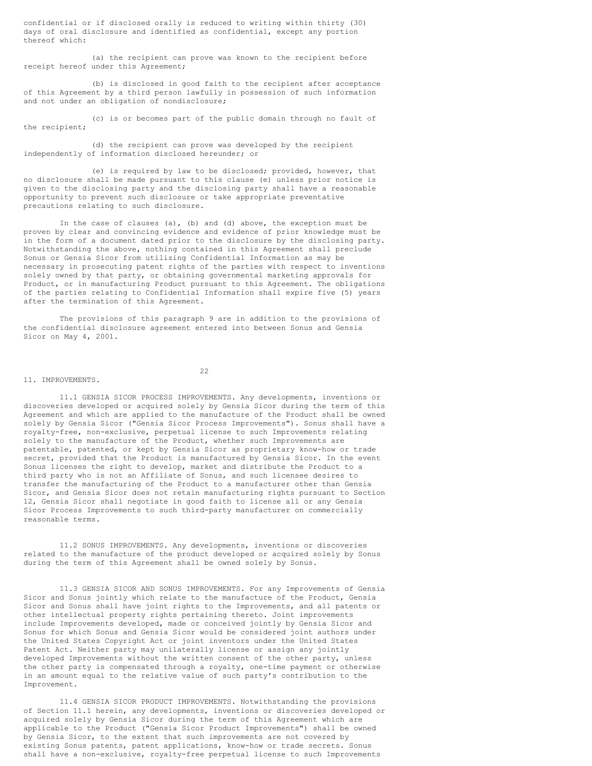confidential or if disclosed orally is reduced to writing within thirty (30) days of oral disclosure and identified as confidential, except any portion thereof which:

(a) the recipient can prove was known to the recipient before receipt hereof under this Agreement;

(b) is disclosed in good faith to the recipient after acceptance of this Agreement by a third person lawfully in possession of such information and not under an obligation of nondisclosure;

(c) is or becomes part of the public domain through no fault of the recipient;

(d) the recipient can prove was developed by the recipient independently of information disclosed hereunder; or

(e) is required by law to be disclosed; provided, however, that no disclosure shall be made pursuant to this clause (e) unless prior notice is given to the disclosing party and the disclosing party shall have a reasonable opportunity to prevent such disclosure or take appropriate preventative precautions relating to such disclosure.

In the case of clauses (a), (b) and (d) above, the exception must be proven by clear and convincing evidence and evidence of prior knowledge must be in the form of a document dated prior to the disclosure by the disclosing party. Notwithstanding the above, nothing contained in this Agreement shall preclude Sonus or Gensia Sicor from utilizing Confidential Information as may be necessary in prosecuting patent rights of the parties with respect to inventions solely owned by that party, or obtaining governmental marketing approvals for Product, or in manufacturing Product pursuant to this Agreement. The obligations of the parties relating to Confidential Information shall expire five (5) years after the termination of this Agreement.

The provisions of this paragraph 9 are in addition to the provisions of the confidential disclosure agreement entered into between Sonus and Gensia Sicor on May 4, 2001.

#### 11. IMPROVEMENTS.

22

11.1 GENSIA SICOR PROCESS IMPROVEMENTS. Any developments, inventions or discoveries developed or acquired solely by Gensia Sicor during the term of this Agreement and which are applied to the manufacture of the Product shall be owned solely by Gensia Sicor ("Gensia Sicor Process Improvements"). Sonus shall have a royalty-free, non-exclusive, perpetual license to such Improvements relating solely to the manufacture of the Product, whether such Improvements are patentable, patented, or kept by Gensia Sicor as proprietary know-how or trade secret, provided that the Product is manufactured by Gensia Sicor. In the event Sonus licenses the right to develop, market and distribute the Product to a third party who is not an Affiliate of Sonus, and such licensee desires to transfer the manufacturing of the Product to a manufacturer other than Gensia Sicor, and Gensia Sicor does not retain manufacturing rights pursuant to Section 12, Gensia Sicor shall negotiate in good faith to license all or any Gensia Sicor Process Improvements to such third-party manufacturer on commercially reasonable terms.

11.2 SONUS IMPROVEMENTS. Any developments, inventions or discoveries related to the manufacture of the product developed or acquired solely by Sonus during the term of this Agreement shall be owned solely by Sonus.

11.3 GENSIA SICOR AND SONUS IMPROVEMENTS. For any Improvements of Gensia Sicor and Sonus jointly which relate to the manufacture of the Product, Gensia Sicor and Sonus shall have joint rights to the Improvements, and all patents or other intellectual property rights pertaining thereto. Joint improvements include Improvements developed, made or conceived jointly by Gensia Sicor and Sonus for which Sonus and Gensia Sicor would be considered joint authors under the United States Copyright Act or joint inventors under the United States Patent Act. Neither party may unilaterally license or assign any jointly developed Improvements without the written consent of the other party, unless the other party is compensated through a royalty, one-time payment or otherwise in an amount equal to the relative value of such party's contribution to the Improvement.

11.4 GENSIA SICOR PRODUCT IMPROVEMENTS. Notwithstanding the provisions of Section 11.1 herein, any developments, inventions or discoveries developed or acquired solely by Gensia Sicor during the term of this Agreement which are applicable to the Product ("Gensia Sicor Product Improvements") shall be owned by Gensia Sicor, to the extent that such improvements are not covered by existing Sonus patents, patent applications, know-how or trade secrets. Sonus shall have a non-exclusive, royalty-free perpetual license to such Improvements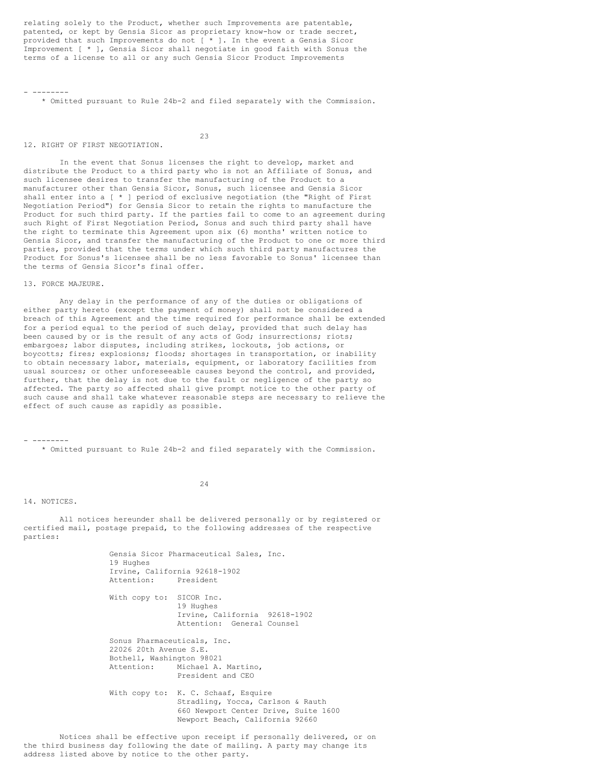relating solely to the Product, whether such Improvements are patentable, patented, or kept by Gensia Sicor as proprietary know-how or trade secret, provided that such Improvements do not [ \* ]. In the event a Gensia Sicor Improvement [ \* ], Gensia Sicor shall negotiate in good faith with Sonus the terms of a license to all or any such Gensia Sicor Product Improvements

\* Omitted pursuant to Rule 24b-2 and filed separately with the Commission.

23

12. RIGHT OF FIRST NEGOTIATION.

In the event that Sonus licenses the right to develop, market and distribute the Product to a third party who is not an Affiliate of Sonus, and such licensee desires to transfer the manufacturing of the Product to a manufacturer other than Gensia Sicor, Sonus, such licensee and Gensia Sicor shall enter into a [ \* ] period of exclusive negotiation (the "Right of First Negotiation Period") for Gensia Sicor to retain the rights to manufacture the Product for such third party. If the parties fail to come to an agreement during such Right of First Negotiation Period, Sonus and such third party shall have the right to terminate this Agreement upon six (6) months' written notice to Gensia Sicor, and transfer the manufacturing of the Product to one or more third parties, provided that the terms under which such third party manufactures the Product for Sonus's licensee shall be no less favorable to Sonus' licensee than the terms of Gensia Sicor's final offer.

13. FORCE MAJEURE.

- --------

Any delay in the performance of any of the duties or obligations of either party hereto (except the payment of money) shall not be considered a breach of this Agreement and the time required for performance shall be extended for a period equal to the period of such delay, provided that such delay has been caused by or is the result of any acts of God; insurrections; riots; embargoes; labor disputes, including strikes, lockouts, job actions, or boycotts; fires; explosions; floods; shortages in transportation, or inability to obtain necessary labor, materials, equipment, or laboratory facilities from usual sources; or other unforeseeable causes beyond the control, and provided, further, that the delay is not due to the fault or negligence of the party so affected. The party so affected shall give prompt notice to the other party of such cause and shall take whatever reasonable steps are necessary to relieve the effect of such cause as rapidly as possible.

- --------

\* Omitted pursuant to Rule 24b-2 and filed separately with the Commission.

24

14. NOTICES.

All notices hereunder shall be delivered personally or by registered or certified mail, postage prepaid, to the following addresses of the respective parties:

Gensia Sicor Pharmaceutical Sales, Inc. 19 Hughes Irvine, California 92618-1902<br>Attention: President President With copy to: SICOR Inc. 19 Hughes Irvine, California 92618-1902 Attention: General Counsel Sonus Pharmaceuticals, Inc. 22026 20th Avenue S.E. Bothell, Washington 98021 Attention: Michael A. Martino, President and CEO With copy to: K. C. Schaaf, Esquire Stradling, Yocca, Carlson & Rauth 660 Newport Center Drive, Suite 1600 Newport Beach, California 92660 Notices shall be effective upon receipt if personally delivered, or on

the third business day following the date of mailing. A party may change its

address listed above by notice to the other party.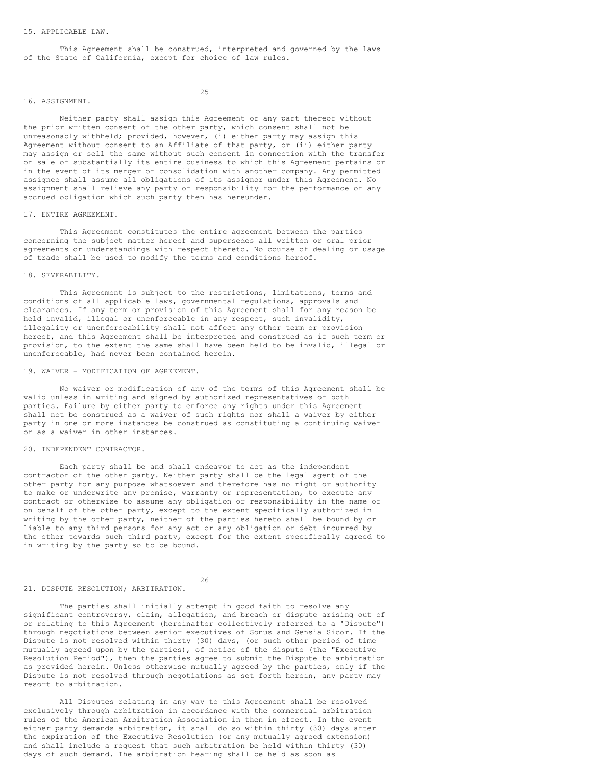#### 15. APPLICABLE LAW.

This Agreement shall be construed, interpreted and governed by the laws of the State of California, except for choice of law rules.

#### 16. ASSIGNMENT.

25

Neither party shall assign this Agreement or any part thereof without the prior written consent of the other party, which consent shall not be unreasonably withheld; provided, however, (i) either party may assign this Agreement without consent to an Affiliate of that party, or (ii) either party may assign or sell the same without such consent in connection with the transfer or sale of substantially its entire business to which this Agreement pertains or in the event of its merger or consolidation with another company. Any permitted assignee shall assume all obligations of its assignor under this Agreement. No assignment shall relieve any party of responsibility for the performance of any accrued obligation which such party then has hereunder.

#### 17. ENTIRE AGREEMENT.

This Agreement constitutes the entire agreement between the parties concerning the subject matter hereof and supersedes all written or oral prior agreements or understandings with respect thereto. No course of dealing or usage of trade shall be used to modify the terms and conditions hereof.

#### 18. SEVERABILITY.

This Agreement is subject to the restrictions, limitations, terms and conditions of all applicable laws, governmental regulations, approvals and clearances. If any term or provision of this Agreement shall for any reason be held invalid, illegal or unenforceable in any respect, such invalidity, illegality or unenforceability shall not affect any other term or provision hereof, and this Agreement shall be interpreted and construed as if such term or provision, to the extent the same shall have been held to be invalid, illegal or unenforceable, had never been contained herein.

#### 19. WAIVER - MODIFICATION OF AGREEMENT.

No waiver or modification of any of the terms of this Agreement shall be valid unless in writing and signed by authorized representatives of both parties. Failure by either party to enforce any rights under this Agreement shall not be construed as a waiver of such rights nor shall a waiver by either party in one or more instances be construed as constituting a continuing waiver or as a waiver in other instances.

#### 20. INDEPENDENT CONTRACTOR.

Each party shall be and shall endeavor to act as the independent contractor of the other party. Neither party shall be the legal agent of the other party for any purpose whatsoever and therefore has no right or authority to make or underwrite any promise, warranty or representation, to execute any contract or otherwise to assume any obligation or responsibility in the name or on behalf of the other party, except to the extent specifically authorized in writing by the other party, neither of the parties hereto shall be bound by or liable to any third persons for any act or any obligation or debt incurred by the other towards such third party, except for the extent specifically agreed to in writing by the party so to be bound.

26

#### 21. DISPUTE RESOLUTION; ARBITRATION.

The parties shall initially attempt in good faith to resolve any significant controversy, claim, allegation, and breach or dispute arising out of or relating to this Agreement (hereinafter collectively referred to a "Dispute") through negotiations between senior executives of Sonus and Gensia Sicor. If the Dispute is not resolved within thirty (30) days, (or such other period of time mutually agreed upon by the parties), of notice of the dispute (the "Executive Resolution Period"), then the parties agree to submit the Dispute to arbitration as provided herein. Unless otherwise mutually agreed by the parties, only if the Dispute is not resolved through negotiations as set forth herein, any party may resort to arbitration.

All Disputes relating in any way to this Agreement shall be resolved exclusively through arbitration in accordance with the commercial arbitration rules of the American Arbitration Association in then in effect. In the event either party demands arbitration, it shall do so within thirty (30) days after the expiration of the Executive Resolution (or any mutually agreed extension) and shall include a request that such arbitration be held within thirty (30) days of such demand. The arbitration hearing shall be held as soon as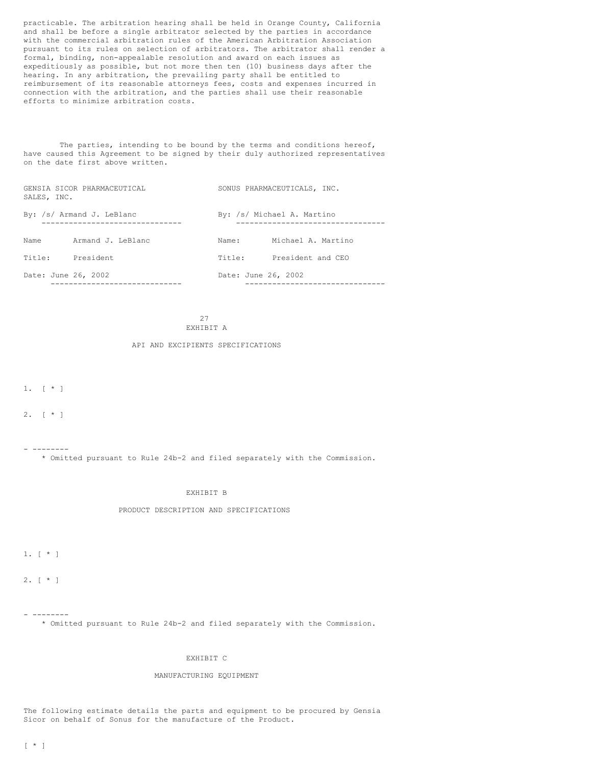practicable. The arbitration hearing shall be held in Orange County, California and shall be before a single arbitrator selected by the parties in accordance with the commercial arbitration rules of the American Arbitration Association pursuant to its rules on selection of arbitrators. The arbitrator shall render a formal, binding, non-appealable resolution and award on each issues as expeditiously as possible, but not more then ten (10) business days after the hearing. In any arbitration, the prevailing party shall be entitled to reimbursement of its reasonable attorneys fees, costs and expenses incurred in connection with the arbitration, and the parties shall use their reasonable efforts to minimize arbitration costs.

The parties, intending to be bound by the terms and conditions hereof, have caused this Agreement to be signed by their duly authorized representatives on the date first above written.

| SALES, INC.         | GENSIA SICOR PHARMACEUTICAL |                     | SONUS PHARMACEUTICALS, INC. |
|---------------------|-----------------------------|---------------------|-----------------------------|
|                     | By: /s/ Armand J. LeBlanc   |                     | By: /s/ Michael A. Martino  |
| Name                | Armand J. LeBlanc           | Name:               | Michael A. Martino          |
| Title:              | President                   | Title:              | President and CEO           |
| Date: June 26, 2002 |                             | Date: June 26, 2002 |                             |

27 EXHIBIT A

#### API AND EXCIPIENTS SPECIFICATIONS

1.  $[ * ]$ 

2. [ \* ]

- --------

\* Omitted pursuant to Rule 24b-2 and filed separately with the Commission.

#### EXHIBIT B

#### PRODUCT DESCRIPTION AND SPECIFICATIONS

1. [ \* ]

2. [ \* ]

- --------

\* Omitted pursuant to Rule 24b-2 and filed separately with the Commission.

#### EXHIBIT C

#### MANUFACTURING EQUIPMENT

The following estimate details the parts and equipment to be procured by Gensia Sicor on behalf of Sonus for the manufacture of the Product.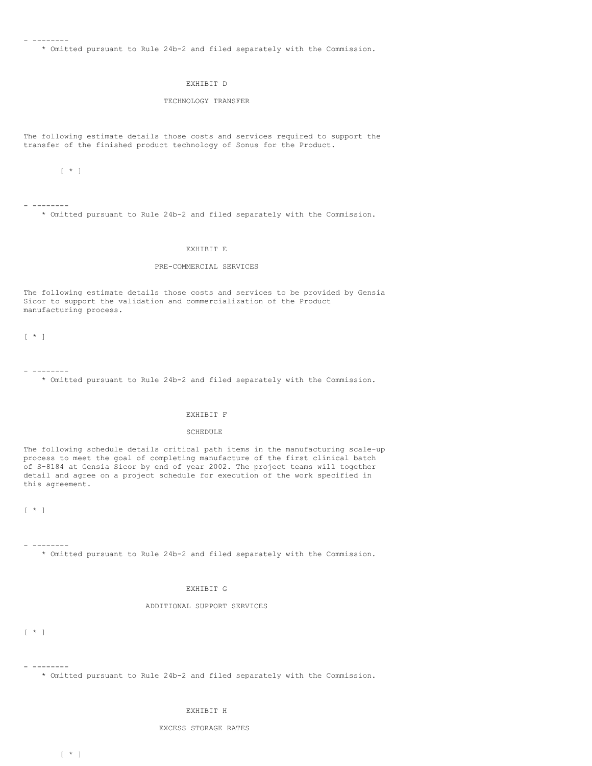- --------

\* Omitted pursuant to Rule 24b-2 and filed separately with the Commission.

#### EXHIBIT D

#### TECHNOLOGY TRANSFER

The following estimate details those costs and services required to support the transfer of the finished product technology of Sonus for the Product.

[ \* ]

- --------

\* Omitted pursuant to Rule 24b-2 and filed separately with the Commission.

#### EXHIBIT E

### PRE-COMMERCIAL SERVICES

The following estimate details those costs and services to be provided by Gensia Sicor to support the validation and commercialization of the Product manufacturing process.

[ \* ]

- -------- \* Omitted pursuant to Rule 24b-2 and filed separately with the Commission.

#### EXHIBIT F

#### SCHEDULE

The following schedule details critical path items in the manufacturing scale-up process to meet the goal of completing manufacture of the first clinical batch of S-8184 at Gensia Sicor by end of year 2002. The project teams will together detail and agree on a project schedule for execution of the work specified in this agreement.

 $[ \begin{array}{cc} \star & ] \end{array}$ 

- --------

\* Omitted pursuant to Rule 24b-2 and filed separately with the Commission.

### EXHIBIT G

### ADDITIONAL SUPPORT SERVICES

[ \* ]

- --------

\* Omitted pursuant to Rule 24b-2 and filed separately with the Commission.

#### EXHIBIT H

### EXCESS STORAGE RATES

 $[\star]$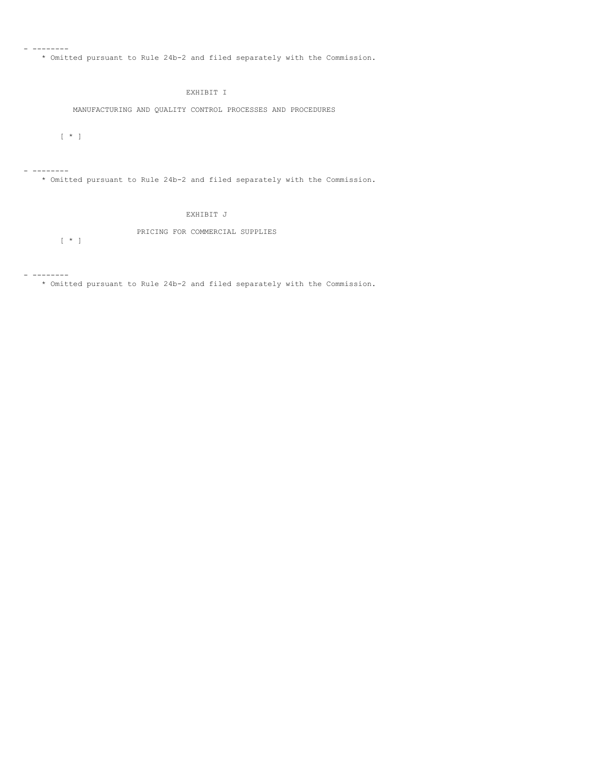\* Omitted pursuant to Rule 24b-2 and filed separately with the Commission.

# EXHIBIT I

MANUFACTURING AND QUALITY CONTROL PROCESSES AND PROCEDURES

 $[\star]$ 

- --------

- --------

\* Omitted pursuant to Rule 24b-2 and filed separately with the Commission.

# EXHIBIT J

PRICING FOR COMMERCIAL SUPPLIES

 $[\star]$ 

- --------

\* Omitted pursuant to Rule 24b-2 and filed separately with the Commission.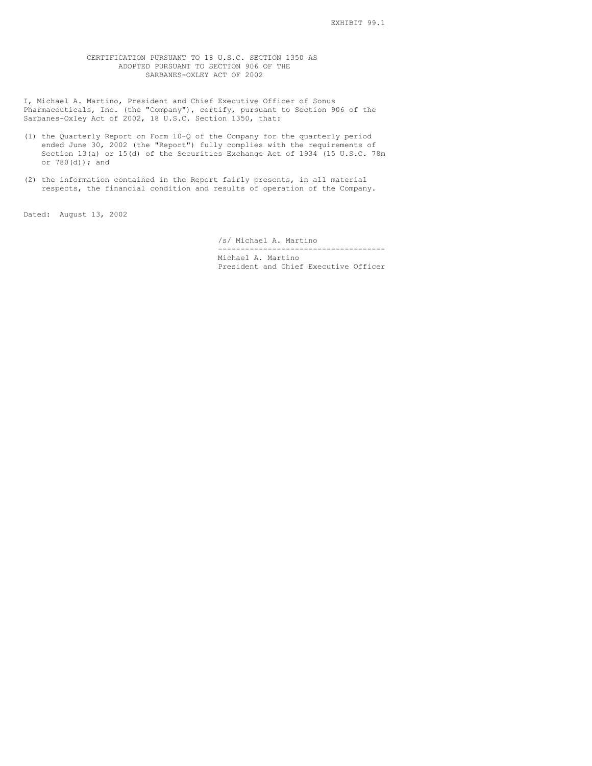#### <span id="page-35-0"></span>CERTIFICATION PURSUANT TO 18 U.S.C. SECTION 1350 AS ADOPTED PURSUANT TO SECTION 906 OF THE SARBANES-OXLEY ACT OF 2002

I, Michael A. Martino, President and Chief Executive Officer of Sonus Pharmaceuticals, Inc. (the "Company"), certify, pursuant to Section 906 of the Sarbanes-Oxley Act of 2002, 18 U.S.C. Section 1350, that:

- (1) the Quarterly Report on Form 10-Q of the Company for the quarterly period ended June 30, 2002 (the "Report") fully complies with the requirements of Section 13(a) or 15(d) of the Securities Exchange Act of 1934 (15 U.S.C. 78m or 780(d)); and
- (2) the information contained in the Report fairly presents, in all material respects, the financial condition and results of operation of the Company.

Dated: August 13, 2002

/s/ Michael A. Martino

------------------------------------- Michael A. Martino President and Chief Executive Officer